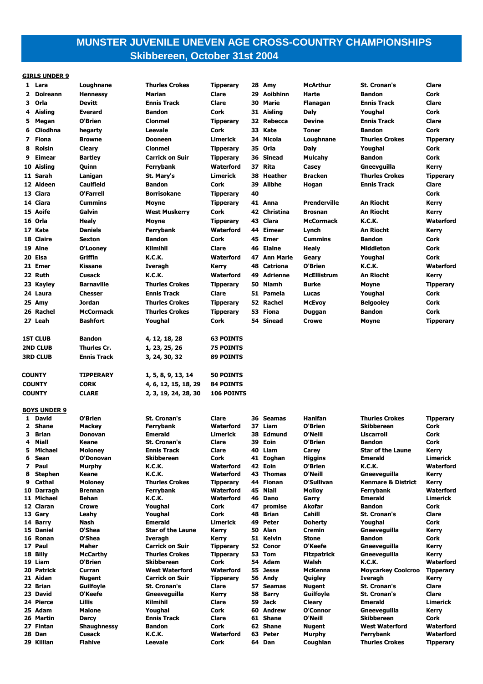# **MUNSTER JUVENILE UNEVEN AGE CROSS-COUNTRY CHAMPIONSHIPS Skibbereen, October 31st 2004**

### **GIRLS UNDER 9**

| 1 Lara                        | Loughnane                       | <b>Thurles Crokes</b>                           | <b>Tipperary</b>         |    | 28 Amy               | <b>McArthur</b>             | <b>St. Cronan's</b>                | Clare                         |
|-------------------------------|---------------------------------|-------------------------------------------------|--------------------------|----|----------------------|-----------------------------|------------------------------------|-------------------------------|
| 2 Doireann                    | <b>Hennessy</b>                 | Marian                                          | Clare                    |    | 29 Aoibhinn          | Harte                       | <b>Bandon</b>                      | Cork                          |
| 3<br>Orla                     | <b>Devitt</b>                   | <b>Ennis Track</b>                              | <b>Clare</b>             | 30 | Marie                | <b>Flanagan</b>             | <b>Ennis Track</b>                 | Clare                         |
| Aisling<br>4                  | <b>Everard</b>                  | <b>Bandon</b>                                   | Cork                     |    | 31 Aisling           | <b>Daly</b>                 | Youghal                            | Cork                          |
| 5<br>Megan                    | O'Brien                         | <b>Clonmel</b>                                  | <b>Tipperary</b>         |    | 32 Rebecca           | <b>Devine</b>               | <b>Ennis Track</b>                 | Clare                         |
| Cliodhna<br>6                 | hegarty                         | Leevale                                         | Cork                     |    | 33 Kate              | <b>Toner</b>                | <b>Bandon</b>                      | Cork                          |
| 7 Fiona                       | <b>Browne</b>                   | <b>Dooneen</b>                                  | Limerick                 |    | 34 Nicola            | Loughnane                   | <b>Thurles Crokes</b>              | <b>Tipperary</b>              |
| 8<br><b>Roisin</b>            |                                 | <b>Clonmel</b>                                  |                          |    | 35 Orla              |                             |                                    |                               |
|                               | Cleary                          |                                                 | <b>Tipperary</b>         |    | 36 Sinead            | Daly                        | Youghal                            | Cork                          |
| Eimear<br>9                   | <b>Bartley</b>                  | <b>Carrick on Suir</b>                          | <b>Tipperary</b>         |    |                      | Mulcahy                     | <b>Bandon</b>                      | Cork                          |
| 10 Aisling                    | Quinn                           | Ferrybank                                       | Waterford                |    | 37 Rita              | Casey                       | Gneevguilla                        | Kerry                         |
| 11 Sarah                      | Lanigan                         | St. Mary's                                      | Limerick                 |    | 38 Heather           | <b>Bracken</b>              | <b>Thurles Crokes</b>              | <b>Tipperary</b>              |
| 12 Aideen                     | <b>Caulfield</b>                | <b>Bandon</b>                                   | Cork                     |    | 39 Ailbhe            | Hogan                       | <b>Ennis Track</b>                 | Clare                         |
| 13 Ciara                      | O'Farrell                       | <b>Borrisokane</b>                              | <b>Tipperary</b>         | 40 |                      |                             |                                    | Cork                          |
| 14 Ciara                      | <b>Cummins</b>                  | Moyne                                           | <b>Tipperary</b>         |    | 41 Anna              | <b>Prenderville</b>         | An Riocht                          | Kerry                         |
| 15 Aoife                      | Galvin                          | <b>West Muskerry</b>                            | Cork                     |    | 42 Christina         | <b>Brosnan</b>              | <b>An Riocht</b>                   | Kerry                         |
| 16 Orla                       | Healy                           | Moyne                                           | <b>Tipperary</b>         |    | 43 Clara             | <b>McCormack</b>            | <b>K.C.K.</b>                      | <b>Waterford</b>              |
| 17 Kate                       | <b>Daniels</b>                  | Ferrybank                                       | <b>Waterford</b>         |    | 44 Eimear            | Lynch                       | <b>An Riocht</b>                   | <b>Kerry</b>                  |
| 18 Claire                     | <b>Sexton</b>                   | <b>Bandon</b>                                   | Cork                     |    | 45 Emer              | <b>Cummins</b>              | <b>Bandon</b>                      | Cork                          |
| 19 Aine                       | O'Looney                        | <b>Kilmihil</b>                                 | Clare                    |    | 46 Elaine            | <b>Healy</b>                | <b>Middleton</b>                   | Cork                          |
| 20 Elsa                       | Griffin                         | <b>K.C.K.</b>                                   | <b>Waterford</b>         |    | 47 Ann Marie         | Geary                       | Youghal                            | Cork                          |
| 21 Emer                       | Kissane                         | <b>Iveragh</b>                                  | Kerry                    |    | 48 Catriona          | O'Brien                     | <b>K.C.K.</b>                      | Waterford                     |
| 22 Ruth                       | <b>Cusack</b>                   | <b>K.C.K.</b>                                   | <b>Waterford</b>         |    | 49 Adrienne          | <b>McEllistrum</b>          | <b>An Riocht</b>                   | Kerry                         |
| 23 Kayley                     | <b>Barnaville</b>               | <b>Thurles Crokes</b>                           | <b>Tipperary</b>         |    | 50 Niamh             | <b>Burke</b>                | Moyne                              | <b>Tipperary</b>              |
| 24 Laura                      | <b>Chesser</b>                  | <b>Ennis Track</b>                              | Clare                    |    | 51 Pamela            | Lucas                       | Youghal                            | Cork                          |
| 25 Amy                        | Jordan                          | <b>Thurles Crokes</b>                           | <b>Tipperary</b>         |    | 52 Rachel            | <b>McEvoy</b>               | <b>Belgooley</b>                   | Cork                          |
| 26 Rachel                     | <b>McCormack</b>                | <b>Thurles Crokes</b>                           | <b>Tipperary</b>         | 53 | <b>Fiona</b>         | Duggan                      | <b>Bandon</b>                      | Cork                          |
| 27 Leah                       | <b>Bashfort</b>                 | Youghal                                         | Cork                     |    | 54 Sinead            | <b>Crowe</b>                | Moyne                              | <b>Tipperary</b>              |
|                               |                                 |                                                 |                          |    |                      |                             |                                    |                               |
| <b>1ST CLUB</b>               | <b>Bandon</b>                   | 4, 12, 18, 28                                   | <b>63 POINTS</b>         |    |                      |                             |                                    |                               |
| <b>2ND CLUB</b>               | Thurles Cr.                     | 1, 23, 25, 26                                   | <b>75 POINTS</b>         |    |                      |                             |                                    |                               |
| <b>3RD CLUB</b>               | <b>Ennis Track</b>              | 3, 24, 30, 32                                   | <b>89 POINTS</b>         |    |                      |                             |                                    |                               |
|                               |                                 |                                                 |                          |    |                      |                             |                                    |                               |
|                               |                                 |                                                 |                          |    |                      |                             |                                    |                               |
| <b>COUNTY</b>                 | <b>TIPPERARY</b>                | 1, 5, 8, 9, 13, 14                              | <b>50 POINTS</b>         |    |                      |                             |                                    |                               |
| <b>COUNTY</b>                 | <b>CORK</b>                     | 4, 6, 12, 15, 18, 29                            | <b>84 POINTS</b>         |    |                      |                             |                                    |                               |
| <b>COUNTY</b>                 | <b>CLARE</b>                    | 2, 3, 19, 24, 28, 30                            | <b>106 POINTS</b>        |    |                      |                             |                                    |                               |
|                               |                                 |                                                 |                          |    |                      |                             |                                    |                               |
| <b>BOYS UNDER 9</b>           |                                 |                                                 |                          |    |                      |                             |                                    |                               |
| David<br>1.                   | O'Brien                         | <b>St. Cronan's</b>                             | Clare                    |    | 36 Seamas            | Hanifan                     | <b>Thurles Crokes</b>              | <b>Tipperary</b>              |
| $\mathbf{2}$<br>Shane         | <b>Mackey</b>                   | Ferrybank                                       | <b>Waterford</b>         |    | 37 Liam              | O'Brien                     | <b>Skibbereen</b>                  | Cork                          |
| 3<br>Brian                    | Donovan                         | <b>Emerald</b>                                  | Limerick                 |    | 38 Edmund            | O'Neill                     | Liscarroll                         | Cork                          |
| 4 Niall                       | Keane                           | <b>St. Cronan's</b>                             | Clare                    |    | 39 Eoin              | O'Brien                     | <b>Bandon</b>                      | Cork                          |
| Michael<br>5.                 | <b>Moloney</b>                  | <b>Ennis Track</b>                              | Clare                    |    | 40 Liam              | Carey                       | <b>Star of the Laune</b>           | Kerry                         |
| Sean<br>6                     | O'Donovan                       | <b>Skibbereen</b>                               | Cork                     |    | 41 Eoghan            | <b>Higgins</b>              | Emerald                            | <b>Limerick</b>               |
| 7 Paul<br>8                   | <b>Murphy</b><br>Keane          | K.C.K.<br>K.C.K.                                | Waterford<br>Waterford   |    | 42 Eoin<br>43 Thomas | O'Brien<br>O'Neill          | <b>K.C.K.</b><br>Gneeveguilla      | Waterford                     |
| <b>Stephen</b><br>Cathal<br>9 | <b>Moloney</b>                  | <b>Thurles Crokes</b>                           | <b>Tipperary</b>         |    | 44 Fionan            | O'Sullivan                  | <b>Kenmare &amp; District</b>      | Kerry<br>Kerry                |
| 10 Darragh                    | <b>Brennan</b>                  | Ferrybank                                       | Waterford                |    | 45 Niall             | <b>Molloy</b>               | Ferrybank                          | Waterford                     |
| 11 Michael                    | Behan                           | K.C.K.                                          | Waterford                |    | 46 Dano              | Garry                       | <b>Emerald</b>                     | Limerick                      |
| 12 Ciaran                     | <b>Crowe</b>                    | Youghal                                         | Cork                     | 47 | promise              | Akofar                      | <b>Bandon</b>                      | Cork                          |
| 13 Gary                       | Leahy                           | Youghal                                         | Cork                     |    | 48 Brian             | Cahill                      | <b>St. Cronan's</b>                | Clare                         |
| 14 Barry                      | Nash                            | <b>Emerald</b>                                  | Limerick                 |    | 49 Peter             | <b>Doherty</b>              | Youghal                            | Cork                          |
| 15 Daniel                     | O'Shea                          | <b>Star of the Laune</b>                        | Kerry                    |    | 50 Alan              | <b>Cremin</b>               | Gneeveguilla                       | Kerry                         |
| 16 Ronan                      | O'Shea                          | Iveragh                                         | Kerry                    |    | 51 Kelvin            | <b>Stone</b>                | <b>Bandon</b>                      | Cork                          |
| 17 Paul                       | Maher                           | <b>Carrick on Suir</b><br><b>Thurles Crokes</b> | <b>Tipperary</b>         |    | 52 Conor<br>53 Tom   | O'Keefe                     | Gneeveguilla                       | Kerry                         |
| 18 Billy<br>19 Liam           | <b>McCarthy</b><br>O'Brien      | <b>Skibbereen</b>                               | <b>Tipperary</b><br>Cork |    | 54 Adam              | <b>Fitzpatrick</b><br>Walsh | Gneeveguilla<br>K.C.K.             | Kerry<br>Waterford            |
| 20 Patrick                    | Curran                          | <b>West Waterford</b>                           | Waterford                |    | 55 Jesse             | <b>McKenna</b>              | <b>Moycarkey Coolcroo</b>          | <b>Tipperary</b>              |
| 21 Aidan                      | <b>Nugent</b>                   | <b>Carrick on Suir</b>                          | <b>Tipperary</b>         |    | 56 Andy              | Quigley                     | Iveragh                            | <b>Kerry</b>                  |
| 22 Brian                      | <b>Guilfoyle</b>                | <b>St. Cronan's</b>                             | Clare                    |    | 57 Seamas            | <b>Nugent</b>               | <b>St. Cronan's</b>                | Clare                         |
| 23 David                      | O'Keefe                         | Gneeveguilla                                    | Kerry                    | 58 | <b>Barry</b>         | <b>Guilfoyle</b>            | <b>St. Cronan's</b>                | Clare                         |
| 24 Pierce                     | Lillis                          | <b>Kilmihil</b>                                 | Clare                    |    | 59 Jack              | <b>Cleary</b>               | <b>Emerald</b>                     | Limerick                      |
| 25 Adam                       | <b>Malone</b>                   | Youghal                                         | Cork                     |    | 60 Andrew            | O'Connor                    | Gneeveguilla                       | Kerry                         |
| 26 Martin                     | Darcy                           | <b>Ennis Track</b>                              | Clare                    |    | 61 Shane             | O'Neill                     | <b>Skibbereen</b>                  | Cork                          |
| 27 Fintan                     | <b>Shaughnessy</b>              | <b>Bandon</b>                                   | Cork                     |    | 62 Shane             | <b>Nugent</b>               | <b>West Waterford</b>              | Waterford                     |
| 28 Dan<br>29 Killian          | <b>Cusack</b><br><b>Flahive</b> | K.C.K.<br>Leevale                               | Waterford<br>Cork        |    | 63 Peter<br>64 Dan   | <b>Murphy</b><br>Coughlan   | Ferrybank<br><b>Thurles Crokes</b> | Waterford<br><b>Tipperary</b> |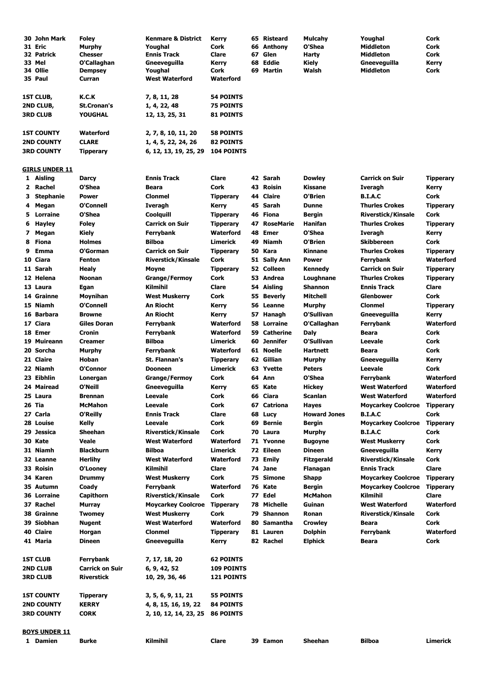| 30 John Mark          | <b>Foley</b>       | <b>Kenmare &amp; District</b> | Kerry             |    | 65 Risteard | <b>Mulcahy</b> | Youghal                | Cork             |
|-----------------------|--------------------|-------------------------------|-------------------|----|-------------|----------------|------------------------|------------------|
| 31 Eric               | Murphy             | Youghal                       | Cork              |    | 66 Anthony  | O'Shea         | Middleton              | Cork             |
| 32 Patrick            | <b>Chesser</b>     | <b>Ennis Track</b>            | Clare             | 67 | Glen        | Harty          | <b>Middleton</b>       | Cork             |
| 33 Mel                | O'Callaghan        | Gneeveguilla                  | Kerry             |    | 68 Eddie    | Kiely          | Gneeveguilla           | Kerry            |
| 34 Ollie              | <b>Dempsey</b>     | Youghal                       | Cork              |    | 69 Martin   | Walsh          | <b>Middleton</b>       | Cork             |
| 35 Paul               | Curran             | <b>West Waterford</b>         | <b>Waterford</b>  |    |             |                |                        |                  |
| 1ST CLUB,             | K.C.K              | 7, 8, 11, 28                  | <b>54 POINTS</b>  |    |             |                |                        |                  |
| 2ND CLUB,             | <b>St.Cronan's</b> | 1, 4, 22, 48                  | <b>75 POINTS</b>  |    |             |                |                        |                  |
| <b>3RD CLUB</b>       | <b>YOUGHAL</b>     | 12, 13, 25, 31                | <b>81 POINTS</b>  |    |             |                |                        |                  |
| <b>1ST COUNTY</b>     | <b>Waterford</b>   | 2, 7, 8, 10, 11, 20           | <b>58 POINTS</b>  |    |             |                |                        |                  |
| <b>2ND COUNTY</b>     | <b>CLARE</b>       | 1, 4, 5, 22, 24, 26           | <b>82 POINTS</b>  |    |             |                |                        |                  |
| <b>3RD COUNTY</b>     | <b>Tipperary</b>   | 6, 12, 13, 19, 25, 29         | <b>104 POINTS</b> |    |             |                |                        |                  |
| <b>GIRLS UNDER 11</b> |                    |                               |                   |    |             |                |                        |                  |
| 1 Aisling             | <b>Darcy</b>       | <b>Ennis Track</b>            | Clare             |    | 42 Sarah    | <b>Dowley</b>  | <b>Carrick on Suir</b> | <b>Tipperary</b> |

|    | 2 Rachel             | O'Shea                 | Beara                     | Cork              |    | 43 Roisin        | Kissane             | Iveragh                   | Kerry            |
|----|----------------------|------------------------|---------------------------|-------------------|----|------------------|---------------------|---------------------------|------------------|
| 3  | <b>Stephanie</b>     | <b>Power</b>           | <b>Clonmel</b>            | <b>Tipperary</b>  |    | 44 Claire        | O'Brien             | <b>B.I.A.C</b>            | Cork             |
| 4  | Megan                | O'Connell              | Iveragh                   | Kerry             |    | 45 Sarah         | Dunne               | <b>Thurles Crokes</b>     | <b>Tipperary</b> |
| 5. | Lorraine             | O'Shea                 | Coolquill                 | <b>Tipperary</b>  |    | 46 Fiona         | Bergin              | <b>Riverstick/Kinsale</b> | Cork             |
| 6  | <b>Hayley</b>        | <b>Foley</b>           | <b>Carrick on Suir</b>    | <b>Tipperary</b>  | 47 | <b>RoseMarie</b> | Hanifan             | <b>Thurles Crokes</b>     | <b>Tipperary</b> |
| 7  | Megan                | <b>Kiely</b>           | Ferrybank                 | <b>Waterford</b>  | 48 | <b>Emer</b>      | O'Shea              | Iveragh                   | Kerry            |
| 8  | Fiona                | <b>Holmes</b>          | Bilboa                    | Limerick          |    | 49 Niamh         | O'Brien             | <b>Skibbereen</b>         | Cork             |
| 9  | Emma                 | O'Gorman               | <b>Carrick on Suir</b>    | <b>Tipperary</b>  |    | 50 Kara          | Kinnane             | <b>Thurles Crokes</b>     | Tipperary        |
|    | 10 Ciara             | <b>Fenton</b>          | <b>Riverstick/Kinsale</b> | Cork              |    | 51 Sally Ann     | Power               | Ferrybank                 | Waterford        |
|    | 11 Sarah             | <b>Healy</b>           | Moyne                     | <b>Tipperary</b>  |    | 52 Colleen       | Kennedy             | <b>Carrick on Suir</b>    | Tipperary        |
|    | 12 Helena            | Noonan                 | <b>Grange/Fermoy</b>      | Cork              |    | 53 Andrea        | Loughnane           | <b>Thurles Crokes</b>     | Tipperary        |
|    | 13 Laura             | Egan                   | Kilmihil                  | Clare             |    | 54 Aisling       | <b>Shannon</b>      | <b>Ennis Track</b>        | Clare            |
|    | 14 Grainne           | Moynihan               | <b>West Muskerry</b>      | Cork              |    | 55 Beverly       | Mitchell            | <b>Glenbower</b>          | Cork             |
|    | 15 Niamh             | O'Connell              | An Riocht                 | Kerry             |    | 56 Leanne        | Murphy              | <b>Clonmel</b>            | Tipperary        |
|    | 16 Barbara           | <b>Browne</b>          | An Riocht                 | Kerry             |    | 57 Hanagh        | O'Sullivan          | Gneeveguilla              | Kerry            |
|    | 17 Ciara             | <b>Giles Doran</b>     | Ferrybank                 | Waterford         |    | 58 Lorraine      | O'Callaghan         | Ferrybank                 | Waterford        |
|    | 18 Emer              | Cronin                 | Ferrybank                 | Waterford         |    | 59 Catherine     | Daly                | Beara                     | Cork             |
|    | 19 Muireann          | <b>Creamer</b>         | <b>Bilboa</b>             | <b>Limerick</b>   |    | 60 Jennifer      | O'Sullivan          | Leevale                   | Cork             |
|    | 20 Sorcha            | Murphy                 | Ferrybank                 | Waterford         |    | 61 Noelle        | Hartnett            | Beara                     | Cork             |
|    | 21 Claire            | Hoban                  | St. Flannan's             | <b>Tipperary</b>  |    | 62 Gillian       | Murphy              | Gneeveguilla              | Kerry            |
|    | 22 Niamh             | O'Connor               | Dooneen                   | Limerick          |    | 63 Yvette        | <b>Peters</b>       | Leevale                   | Cork             |
|    | 23 Eibhlin           | Lonergan               | <b>Grange/Fermoy</b>      | Cork              |    | 64 Ann           | O'Shea              | Ferrybank                 | Waterford        |
|    | 24 Mairead           | O'Neill                | Gneeveguilla              | Kerry             |    | 65 Kate          | Hickey              | <b>West Waterford</b>     | Waterford        |
|    | 25 Laura             | <b>Brennan</b>         | Leevale                   | Cork              |    | 66 Ciara         | Scanlan             | <b>West Waterford</b>     | Waterford        |
|    | 26 Tia               | McMahon                | Leevale                   | Cork              |    | 67 Catriona      | Hayes               | <b>Moycarkey Coolcroe</b> | <b>Tipperary</b> |
|    | 27 Carla             | O'Reilly               | <b>Ennis Track</b>        | Clare             |    | 68 Lucy          | <b>Howard Jones</b> | <b>B.I.A.C</b>            | Cork             |
|    | 28 Louise            | Kelly                  | Leevale                   | Cork              | 69 | Bernie           | Bergin              | <b>Moycarkey Coolcroe</b> | <b>Tipperary</b> |
|    | 29 Jessica           | <b>Sheehan</b>         | <b>Riverstick/Kinsale</b> | Cork              |    | 70 Laura         | Murphy              | <b>B.I.A.C</b>            | Cork             |
|    | 30 Kate              | Veale                  | <b>West Waterford</b>     | <b>Waterford</b>  |    | 71 Yvonne        | <b>Bugoyne</b>      | <b>West Muskerry</b>      | Cork             |
|    | 31 Niamh             | <b>Blackburn</b>       | <b>Bilboa</b>             | <b>Limerick</b>   |    | 72 Eileen        | Dineen              | Gneeveguilla              | Kerry            |
|    | 32 Leanne            | <b>Herlihy</b>         | <b>West Waterford</b>     | <b>Waterford</b>  |    | 73 Emily         | Fitzgerald          | <b>Riverstick/Kinsale</b> | Cork             |
|    | 33 Roisin            | O'Looney               | Kilmihil                  | Clare             |    | 74 Jane          | Flanagan            | <b>Ennis Track</b>        | Clare            |
|    | 34 Karen             | <b>Drummy</b>          | <b>West Muskerry</b>      | Cork              |    | 75 Simone        | Shapp               | <b>Moycarkey Coolcroe</b> | <b>Tipperary</b> |
|    | 35 Autumn            | Coady                  | Ferrybank                 | Waterford         |    | 76 Kate          | Bergin              | <b>Moycarkey Coolcroe</b> | <b>Tipperary</b> |
|    | <b>36 Lorraine</b>   | Capithorn              | <b>Riverstick/Kinsale</b> | Cork              |    | 77 Edel          | <b>McMahon</b>      | <b>Kilmihil</b>           | Clare            |
|    | 37 Rachel            | Murray                 | <b>Moycarkey Coolcroe</b> | <b>Tipperary</b>  |    | 78 Michelle      | Guinan              | <b>West Waterford</b>     | Waterford        |
|    | 38 Grainne           | <b>Twomey</b>          | <b>West Muskerry</b>      | Cork              |    | 79 Shannon       | Ronan               | <b>Riverstick/Kinsale</b> | Cork             |
|    | 39 Siobhan           | Nugent                 | <b>West Waterford</b>     | Waterford         | 80 | Samantha         | <b>Crowley</b>      | Beara                     | Cork             |
|    | 40 Claire            | Horgan                 | Clonmel                   | <b>Tipperary</b>  |    | 81 Lauren        | Dolphin             | Ferrybank                 | Waterford        |
|    | 41 Maria             | <b>Dineen</b>          | Gneeveguilla              | Kerry             |    | 82 Rachel        | Elphick             | <b>Beara</b>              | Cork             |
|    | <b>1ST CLUB</b>      | Ferrybank              | 7, 17, 18, 20             | <b>62 POINTS</b>  |    |                  |                     |                           |                  |
|    | <b>2ND CLUB</b>      | <b>Carrick on Suir</b> | 6, 9, 42, 52              | <b>109 POINTS</b> |    |                  |                     |                           |                  |
|    | <b>3RD CLUB</b>      | <b>Riverstick</b>      | 10, 29, 36, 46            | <b>121 POINTS</b> |    |                  |                     |                           |                  |
|    | <b>1ST COUNTY</b>    | <b>Tipperary</b>       | 3, 5, 6, 9, 11, 21        | <b>55 POINTS</b>  |    |                  |                     |                           |                  |
|    | <b>2ND COUNTY</b>    | <b>KERRY</b>           | 4, 8, 15, 16, 19, 22      | <b>84 POINTS</b>  |    |                  |                     |                           |                  |
|    | <b>3RD COUNTY</b>    | <b>CORK</b>            | 2, 10, 12, 14, 23, 25     | <b>86 POINTS</b>  |    |                  |                     |                           |                  |
|    | <b>BOYS UNDER 11</b> |                        |                           |                   |    |                  |                     |                           |                  |

**Damien Burke Kilmihil Clare 39 Eamon Sheehan Bilboa Limerick**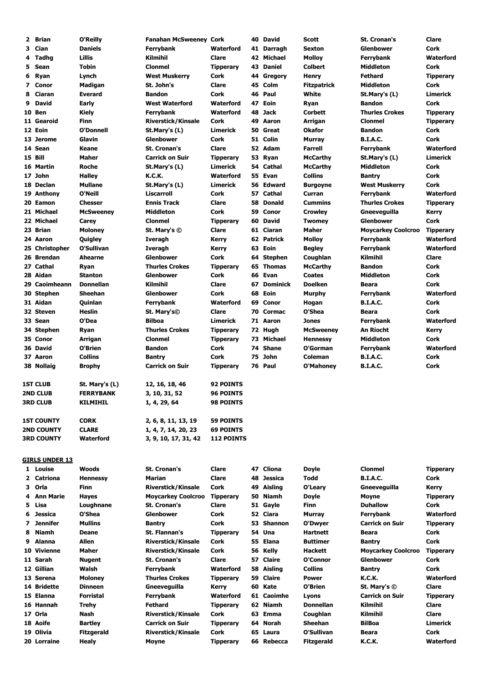| 3<br>Cian<br><b>Daniels</b><br><b>Waterford</b><br>Sexton<br><b>Glenbower</b><br>Cork<br>Ferrybank<br>41 Darragh<br>Tadhg<br>Lillis<br>Kilmihil<br>Clare<br>42 Michael<br>Molloy<br>Ferrybank<br>4<br>5<br>Sean<br><b>Tobin</b><br>43 Daniel<br><b>Colbert</b><br><b>Middleton</b><br>Cork<br>Clonmel<br><b>Tipperary</b><br>Lynch<br><b>West Muskerry</b><br>Cork<br>Fethard<br>6<br><b>Ryan</b><br>44 Gregory<br>Henry<br><b>Tipperary</b><br>45 Colm<br>7<br>Conor<br>Madigan<br>St. John's<br>Clare<br><b>Middleton</b><br>Fitzpatrick<br>Cork<br>46 Paul<br><b>Everard</b><br><b>Bandon</b><br>Cork<br>White<br>8<br>Ciaran<br>St.Mary's (L)<br>9<br><b>David</b><br><b>Early</b><br><b>West Waterford</b><br><b>Waterford</b><br>47 Eoin<br><b>Bandon</b><br>Cork<br>Ryan<br>10 Ben<br><b>Kiely</b><br><b>Waterford</b><br>48 Jack<br>Corbett<br><b>Thurles Crokes</b><br>Ferrybank<br>11 Gearoid<br><b>Finn</b><br><b>Riverstick/Kinsale</b><br>Cork<br>49 Aaron<br><b>Clonmel</b><br>Arrigan<br><b>O'Donnell</b><br>12 Eoin<br><b>Limerick</b><br>50 Great<br><b>Bandon</b><br>St.Mary's (L)<br>Okafor<br>Cork<br>Glavin<br><b>Glenbower</b><br>Cork<br>51 Colin<br><b>B.I.A.C.</b><br>Cork<br>13 Jerome<br>Murray<br>14 Sean<br>Keane<br><b>St. Cronan's</b><br>Clare<br>52 Adam<br>Farrell<br>Ferrybank<br>15 Bill<br>Maher<br><b>Carrick on Suir</b><br>53 Ryan<br><b>Tipperary</b><br><b>McCarthy</b><br>St.Mary's (L)<br><b>Roche</b><br>54 Cathal<br>16 Martin<br>Limerick<br><b>McCarthy</b><br><b>Middleton</b><br>St.Mary's (L)<br>Cork<br><b>Collins</b><br>17 John<br><b>Halley</b><br>Waterford<br>55 Evan<br>K.C.K.<br><b>Bantry</b><br>Cork<br>18 Declan<br><b>Mullane</b><br><b>Limerick</b><br>56 Edward<br>Cork<br>St.Mary's (L)<br><b>Burgoyne</b><br><b>West Muskerry</b><br>O'Neill<br><b>Liscarroll</b><br>Cork<br>57 Cathal<br>19 Anthony<br>Curran<br>Ferrybank<br>20 Eamon<br><b>Chesser</b><br><b>Ennis Track</b><br>Clare<br>58 Donald<br><b>Cummins</b><br><b>Thurles Crokes</b><br><b>Tipperary</b><br>21 Michael<br><b>Middleton</b><br>Cork<br>59 Conor<br><b>McSweeney</b><br><b>Crowley</b><br>Gneeveguilla<br>Kerry<br>22 Michael<br>60 David<br><b>Glenbower</b><br>Cork<br>Carey<br><b>Clonmel</b><br><b>Tipperary</b><br><b>Twomey</b><br>23 Brian<br>Clare<br>61 Ciaran<br>Maher<br><b>Moycarkey Coolcroo</b><br><b>Moloney</b><br>St. Mary's ©<br>24 Aaron<br>Quigley<br>62 Patrick<br>Molloy<br>Iveragh<br>Kerry<br>Ferrybank<br>63 Eoin<br>25 Christopher<br>O'Sullivan<br>Iveragh<br>Kerry<br><b>Begley</b><br>Ferrybank<br>64 Stephen<br>Kilmihil<br>26 Brendan<br><b>Ahearne</b><br>Glenbower<br>Cork<br>Coughlan<br>27 Cathal<br><b>Thurles Crokes</b><br>65 Thomas<br><b>Bandon</b><br>Cork<br>Ryan<br><b>Tipperary</b><br>McCarthy<br>66 Evan<br>28 Aidan<br><b>Stanton</b><br><b>Glenbower</b><br>Cork<br><b>Coates</b><br><b>Middleton</b><br>Cork<br><b>Donnellan</b><br><b>Kilmihil</b><br>29 Caoimheann<br>Clare<br><b>Dominick</b><br><b>Doelken</b><br>Cork<br>67<br>Beara<br>68 Eoin<br>30 Stephen<br><b>Sheehan</b><br>Cork<br><b>Glenbower</b><br>Ferrybank<br>Murphy<br>31 Aidan<br>Quinlan<br><b>Waterford</b><br>69 Conor<br><b>B.I.A.C.</b><br>Cork<br>Ferrybank<br>Hogan<br><b>Heslin</b><br>32 Steven<br>Clare<br>70 Cormac<br>O'Shea<br>Cork<br>St. Mary's©<br>Beara<br>33 Sean<br>O'Dea<br><b>Bilboa</b><br>Limerick<br>71 Aaron<br><b>Jones</b><br>Ferrybank<br><b>Thurles Crokes</b><br>72 Hugh<br>An Riocht<br>34 Stephen<br><b>Tipperary</b><br><b>McSweeney</b><br>Ryan<br>Kerry<br><b>Clonmel</b><br>73 Michael<br>35 Conor<br>Arrigan<br><b>Tipperary</b><br><b>Hennessy</b><br>Middleton<br>Cork<br>O'Brien<br><b>Bandon</b><br>Cork<br>74 Shane<br>O'Gorman<br>36 David<br>Ferrybank<br><b>Collins</b><br>Cork<br>John<br>Coleman<br><b>B.I.A.C.</b><br>37 Aaron<br><b>Bantry</b><br>75<br>Cork<br>38 Nollaig<br><b>Carrick on Suir</b><br>76 Paul<br>O'Mahoney<br><b>B.I.A.C.</b><br>Cork<br><b>Brophy</b><br><b>Tipperary</b><br><b>1ST CLUB</b><br><b>92 POINTS</b><br>St. Mary's (L)<br>12, 16, 18, 46<br><b>2ND CLUB</b><br><b>FERRYBANK</b><br><b>96 POINTS</b><br>3, 10, 31, 52<br><b>3RD CLUB</b><br>1, 4, 29, 64<br>98 POINTS<br>KILMIHIL<br><b>CORK</b><br><b>59 POINTS</b><br><b>1ST COUNTY</b><br>2, 6, 8, 11, 13, 19<br><b>CLARE</b><br><b>2ND COUNTY</b><br>1, 4, 7, 14, 20, 23<br><b>69 POINTS</b><br>Waterford<br><b>3RD COUNTY</b><br>3, 9, 10, 17, 31, 42<br><b>112 POINTS</b><br><b>GIRLS UNDER 13</b><br>47 Cliona<br>1 Louise<br><b>Woods</b><br><b>St. Cronan's</b><br>Clare<br>Doyle<br><b>Clonmel</b><br>Todd<br><b>B.I.A.C.</b><br>2 Catriona<br><b>Hennessy</b><br>Marian<br>Clare<br>48 Jessica<br>Cork<br>3 Orla<br>Finn<br><b>Riverstick/Kinsale</b><br>Cork<br>49 Aisling<br>O'Learv<br>Gneeveguilla<br>Kerry<br>4 Ann Marie<br><b>Hayes</b><br><b>Moycarkey Coolcroo</b><br><b>Tipperary</b><br>50 Niamh<br>Doyle<br>Moyne<br><b>Duhallow</b><br>5<br>Lisa<br>Loughnane<br><b>St. Cronan's</b><br>Clare<br>51 Gayle<br>Cork<br>Finn<br>O'Shea<br><b>Jessica</b><br><b>Glenbower</b><br>Cork<br>52 Ciara<br>6<br>Murray<br>Ferrybank<br>Jennifer<br><b>Mullins</b><br><b>Bantry</b><br>Cork<br>53 Shannon<br>O'Dwyer<br><b>Carrick on Suir</b><br>7<br>54 Una<br><b>Niamh</b><br>Deane<br>St. Flannan's<br><b>Hartnett</b><br>Cork<br>8<br><b>Tipperary</b><br>Beara<br>Allen<br>55 Elana<br>Cork<br>Alanna<br><b>Riverstick/Kinsale</b><br>Cork<br><b>Buttimer</b><br><b>Bantry</b><br>9<br>10 Vivienne<br>Maher<br><b>Riverstick/Kinsale</b><br>Cork<br><b>Moycarkey Coolcroo</b><br>56 Kelly<br>Hackett<br>St. Cronan's<br>Clare<br>57 Claire<br>O'Connor<br><b>Glenbower</b><br>Cork<br>11 Sarah<br><b>Nugent</b><br><b>Collins</b><br>12 Gillian<br>Walsh<br><b>Waterford</b><br>58 Aisling<br>Cork<br>Ferrybank<br><b>Bantry</b><br>59 Claire<br>13 Serena<br><b>Moloney</b><br><b>Thurles Crokes</b><br>K.C.K.<br><b>Tipperary</b><br>Power<br>60 Kate<br>14 Bridette<br><b>Dinneen</b><br>O'Brien<br>Gneeveguilla<br>Kerry<br>St. Mary's $\circledcirc$<br>15 Elanna<br>Forristal<br>61 Caoimhe<br><b>Carrick on Suir</b><br>Ferrybank<br>Waterford<br>Lyons<br>62 Niamh<br>16 Hannah<br><b>Trehy</b><br><b>Fethard</b><br><b>Donnellan</b><br>Kilmihil<br><b>Tipperary</b><br>17 Orla<br>Kilmihil<br>Nash<br><b>Riverstick/Kinsale</b><br>Cork<br>63 Emma<br>Coughlan<br><b>BilBoa</b><br>18 Aoife<br><b>Bartley</b><br><b>Carrick on Suir</b><br><b>Tipperary</b><br>64 Norah<br>Sheehan<br>19 Olivia<br>O'Sullivan<br><b>Fitzgerald</b><br><b>Riverstick/Kinsale</b><br>Cork<br>65 Laura<br>Cork<br>Beara<br>20 Lorraine<br><b>Healy</b><br><b>Tipperary</b><br>66 Rebecca<br><b>Fitzgerald</b><br>K.C.K.<br>Waterford<br>Moyne | 2 | <b>Brian</b> | O'Reilly | <b>Fanahan McSweeney Cork</b> |  | 40 David | Scott | <b>St. Cronan's</b> | Clare            |
|-----------------------------------------------------------------------------------------------------------------------------------------------------------------------------------------------------------------------------------------------------------------------------------------------------------------------------------------------------------------------------------------------------------------------------------------------------------------------------------------------------------------------------------------------------------------------------------------------------------------------------------------------------------------------------------------------------------------------------------------------------------------------------------------------------------------------------------------------------------------------------------------------------------------------------------------------------------------------------------------------------------------------------------------------------------------------------------------------------------------------------------------------------------------------------------------------------------------------------------------------------------------------------------------------------------------------------------------------------------------------------------------------------------------------------------------------------------------------------------------------------------------------------------------------------------------------------------------------------------------------------------------------------------------------------------------------------------------------------------------------------------------------------------------------------------------------------------------------------------------------------------------------------------------------------------------------------------------------------------------------------------------------------------------------------------------------------------------------------------------------------------------------------------------------------------------------------------------------------------------------------------------------------------------------------------------------------------------------------------------------------------------------------------------------------------------------------------------------------------------------------------------------------------------------------------------------------------------------------------------------------------------------------------------------------------------------------------------------------------------------------------------------------------------------------------------------------------------------------------------------------------------------------------------------------------------------------------------------------------------------------------------------------------------------------------------------------------------------------------------------------------------------------------------------------------------------------------------------------------------------------------------------------------------------------------------------------------------------------------------------------------------------------------------------------------------------------------------------------------------------------------------------------------------------------------------------------------------------------------------------------------------------------------------------------------------------------------------------------------------------------------------------------------------------------------------------------------------------------------------------------------------------------------------------------------------------------------------------------------------------------------------------------------------------------------------------------------------------------------------------------------------------------------------------------------------------------------------------------------------------------------------------------------------------------------------------------------------------------------------------------------------------------------------------------------------------------------------------------------------------------------------------------------------------------------------------------------------------------------------------------------------------------------------------------------------------------------------------------------------------------------------------------------------------------------------------------------------------------------------------------------------------------------------------------------------------------------------------------------------------------------------------------------------------------------------------------------------------------------------------------------------------------------------------------------------------------------------------------------------------------------------------------------------------------------------------------------------------------------------------------------------------------------------------------------------------------------------------------------------------------------------------------------------------------------------------------------------------------------------------------------------------------------------------------------------------------------------------------------------------------------------------------------------------------------------------------------------------------------------------------------------------------------------------------------------------------------------------------------------------------------------------------------------------------------------------------------------------------------------------------------------------------------------------------------------------------------------------------------------------------------------------------------------------------------------------------------------------------------------------------------------------------------------------------------------------------------------------------------------------------------------------------------------------------------------------------------------------------------------------------------------------------------------------------------------------------------------------------------------------------------|---|--------------|----------|-------------------------------|--|----------|-------|---------------------|------------------|
|                                                                                                                                                                                                                                                                                                                                                                                                                                                                                                                                                                                                                                                                                                                                                                                                                                                                                                                                                                                                                                                                                                                                                                                                                                                                                                                                                                                                                                                                                                                                                                                                                                                                                                                                                                                                                                                                                                                                                                                                                                                                                                                                                                                                                                                                                                                                                                                                                                                                                                                                                                                                                                                                                                                                                                                                                                                                                                                                                                                                                                                                                                                                                                                                                                                                                                                                                                                                                                                                                                                                                                                                                                                                                                                                                                                                                                                                                                                                                                                                                                                                                                                                                                                                                                                                                                                                                                                                                                                                                                                                                                                                                                                                                                                                                                                                                                                                                                                                                                                                                                                                                                                                                                                                                                                                                                                                                                                                                                                                                                                                                                                                                                                                                                                                                                                                                                                                                                                                                                                                                                                                                                                                                                                                                                                                                                                                                                                                                                                                                                                                                                                                                                                                                                                                                           |   |              |          |                               |  |          |       |                     |                  |
|                                                                                                                                                                                                                                                                                                                                                                                                                                                                                                                                                                                                                                                                                                                                                                                                                                                                                                                                                                                                                                                                                                                                                                                                                                                                                                                                                                                                                                                                                                                                                                                                                                                                                                                                                                                                                                                                                                                                                                                                                                                                                                                                                                                                                                                                                                                                                                                                                                                                                                                                                                                                                                                                                                                                                                                                                                                                                                                                                                                                                                                                                                                                                                                                                                                                                                                                                                                                                                                                                                                                                                                                                                                                                                                                                                                                                                                                                                                                                                                                                                                                                                                                                                                                                                                                                                                                                                                                                                                                                                                                                                                                                                                                                                                                                                                                                                                                                                                                                                                                                                                                                                                                                                                                                                                                                                                                                                                                                                                                                                                                                                                                                                                                                                                                                                                                                                                                                                                                                                                                                                                                                                                                                                                                                                                                                                                                                                                                                                                                                                                                                                                                                                                                                                                                                           |   |              |          |                               |  |          |       |                     | Waterford        |
|                                                                                                                                                                                                                                                                                                                                                                                                                                                                                                                                                                                                                                                                                                                                                                                                                                                                                                                                                                                                                                                                                                                                                                                                                                                                                                                                                                                                                                                                                                                                                                                                                                                                                                                                                                                                                                                                                                                                                                                                                                                                                                                                                                                                                                                                                                                                                                                                                                                                                                                                                                                                                                                                                                                                                                                                                                                                                                                                                                                                                                                                                                                                                                                                                                                                                                                                                                                                                                                                                                                                                                                                                                                                                                                                                                                                                                                                                                                                                                                                                                                                                                                                                                                                                                                                                                                                                                                                                                                                                                                                                                                                                                                                                                                                                                                                                                                                                                                                                                                                                                                                                                                                                                                                                                                                                                                                                                                                                                                                                                                                                                                                                                                                                                                                                                                                                                                                                                                                                                                                                                                                                                                                                                                                                                                                                                                                                                                                                                                                                                                                                                                                                                                                                                                                                           |   |              |          |                               |  |          |       |                     |                  |
|                                                                                                                                                                                                                                                                                                                                                                                                                                                                                                                                                                                                                                                                                                                                                                                                                                                                                                                                                                                                                                                                                                                                                                                                                                                                                                                                                                                                                                                                                                                                                                                                                                                                                                                                                                                                                                                                                                                                                                                                                                                                                                                                                                                                                                                                                                                                                                                                                                                                                                                                                                                                                                                                                                                                                                                                                                                                                                                                                                                                                                                                                                                                                                                                                                                                                                                                                                                                                                                                                                                                                                                                                                                                                                                                                                                                                                                                                                                                                                                                                                                                                                                                                                                                                                                                                                                                                                                                                                                                                                                                                                                                                                                                                                                                                                                                                                                                                                                                                                                                                                                                                                                                                                                                                                                                                                                                                                                                                                                                                                                                                                                                                                                                                                                                                                                                                                                                                                                                                                                                                                                                                                                                                                                                                                                                                                                                                                                                                                                                                                                                                                                                                                                                                                                                                           |   |              |          |                               |  |          |       |                     |                  |
|                                                                                                                                                                                                                                                                                                                                                                                                                                                                                                                                                                                                                                                                                                                                                                                                                                                                                                                                                                                                                                                                                                                                                                                                                                                                                                                                                                                                                                                                                                                                                                                                                                                                                                                                                                                                                                                                                                                                                                                                                                                                                                                                                                                                                                                                                                                                                                                                                                                                                                                                                                                                                                                                                                                                                                                                                                                                                                                                                                                                                                                                                                                                                                                                                                                                                                                                                                                                                                                                                                                                                                                                                                                                                                                                                                                                                                                                                                                                                                                                                                                                                                                                                                                                                                                                                                                                                                                                                                                                                                                                                                                                                                                                                                                                                                                                                                                                                                                                                                                                                                                                                                                                                                                                                                                                                                                                                                                                                                                                                                                                                                                                                                                                                                                                                                                                                                                                                                                                                                                                                                                                                                                                                                                                                                                                                                                                                                                                                                                                                                                                                                                                                                                                                                                                                           |   |              |          |                               |  |          |       |                     |                  |
|                                                                                                                                                                                                                                                                                                                                                                                                                                                                                                                                                                                                                                                                                                                                                                                                                                                                                                                                                                                                                                                                                                                                                                                                                                                                                                                                                                                                                                                                                                                                                                                                                                                                                                                                                                                                                                                                                                                                                                                                                                                                                                                                                                                                                                                                                                                                                                                                                                                                                                                                                                                                                                                                                                                                                                                                                                                                                                                                                                                                                                                                                                                                                                                                                                                                                                                                                                                                                                                                                                                                                                                                                                                                                                                                                                                                                                                                                                                                                                                                                                                                                                                                                                                                                                                                                                                                                                                                                                                                                                                                                                                                                                                                                                                                                                                                                                                                                                                                                                                                                                                                                                                                                                                                                                                                                                                                                                                                                                                                                                                                                                                                                                                                                                                                                                                                                                                                                                                                                                                                                                                                                                                                                                                                                                                                                                                                                                                                                                                                                                                                                                                                                                                                                                                                                           |   |              |          |                               |  |          |       |                     |                  |
|                                                                                                                                                                                                                                                                                                                                                                                                                                                                                                                                                                                                                                                                                                                                                                                                                                                                                                                                                                                                                                                                                                                                                                                                                                                                                                                                                                                                                                                                                                                                                                                                                                                                                                                                                                                                                                                                                                                                                                                                                                                                                                                                                                                                                                                                                                                                                                                                                                                                                                                                                                                                                                                                                                                                                                                                                                                                                                                                                                                                                                                                                                                                                                                                                                                                                                                                                                                                                                                                                                                                                                                                                                                                                                                                                                                                                                                                                                                                                                                                                                                                                                                                                                                                                                                                                                                                                                                                                                                                                                                                                                                                                                                                                                                                                                                                                                                                                                                                                                                                                                                                                                                                                                                                                                                                                                                                                                                                                                                                                                                                                                                                                                                                                                                                                                                                                                                                                                                                                                                                                                                                                                                                                                                                                                                                                                                                                                                                                                                                                                                                                                                                                                                                                                                                                           |   |              |          |                               |  |          |       |                     | Limerick         |
|                                                                                                                                                                                                                                                                                                                                                                                                                                                                                                                                                                                                                                                                                                                                                                                                                                                                                                                                                                                                                                                                                                                                                                                                                                                                                                                                                                                                                                                                                                                                                                                                                                                                                                                                                                                                                                                                                                                                                                                                                                                                                                                                                                                                                                                                                                                                                                                                                                                                                                                                                                                                                                                                                                                                                                                                                                                                                                                                                                                                                                                                                                                                                                                                                                                                                                                                                                                                                                                                                                                                                                                                                                                                                                                                                                                                                                                                                                                                                                                                                                                                                                                                                                                                                                                                                                                                                                                                                                                                                                                                                                                                                                                                                                                                                                                                                                                                                                                                                                                                                                                                                                                                                                                                                                                                                                                                                                                                                                                                                                                                                                                                                                                                                                                                                                                                                                                                                                                                                                                                                                                                                                                                                                                                                                                                                                                                                                                                                                                                                                                                                                                                                                                                                                                                                           |   |              |          |                               |  |          |       |                     |                  |
|                                                                                                                                                                                                                                                                                                                                                                                                                                                                                                                                                                                                                                                                                                                                                                                                                                                                                                                                                                                                                                                                                                                                                                                                                                                                                                                                                                                                                                                                                                                                                                                                                                                                                                                                                                                                                                                                                                                                                                                                                                                                                                                                                                                                                                                                                                                                                                                                                                                                                                                                                                                                                                                                                                                                                                                                                                                                                                                                                                                                                                                                                                                                                                                                                                                                                                                                                                                                                                                                                                                                                                                                                                                                                                                                                                                                                                                                                                                                                                                                                                                                                                                                                                                                                                                                                                                                                                                                                                                                                                                                                                                                                                                                                                                                                                                                                                                                                                                                                                                                                                                                                                                                                                                                                                                                                                                                                                                                                                                                                                                                                                                                                                                                                                                                                                                                                                                                                                                                                                                                                                                                                                                                                                                                                                                                                                                                                                                                                                                                                                                                                                                                                                                                                                                                                           |   |              |          |                               |  |          |       |                     | <b>Tipperary</b> |
|                                                                                                                                                                                                                                                                                                                                                                                                                                                                                                                                                                                                                                                                                                                                                                                                                                                                                                                                                                                                                                                                                                                                                                                                                                                                                                                                                                                                                                                                                                                                                                                                                                                                                                                                                                                                                                                                                                                                                                                                                                                                                                                                                                                                                                                                                                                                                                                                                                                                                                                                                                                                                                                                                                                                                                                                                                                                                                                                                                                                                                                                                                                                                                                                                                                                                                                                                                                                                                                                                                                                                                                                                                                                                                                                                                                                                                                                                                                                                                                                                                                                                                                                                                                                                                                                                                                                                                                                                                                                                                                                                                                                                                                                                                                                                                                                                                                                                                                                                                                                                                                                                                                                                                                                                                                                                                                                                                                                                                                                                                                                                                                                                                                                                                                                                                                                                                                                                                                                                                                                                                                                                                                                                                                                                                                                                                                                                                                                                                                                                                                                                                                                                                                                                                                                                           |   |              |          |                               |  |          |       |                     | <b>Tipperary</b> |
|                                                                                                                                                                                                                                                                                                                                                                                                                                                                                                                                                                                                                                                                                                                                                                                                                                                                                                                                                                                                                                                                                                                                                                                                                                                                                                                                                                                                                                                                                                                                                                                                                                                                                                                                                                                                                                                                                                                                                                                                                                                                                                                                                                                                                                                                                                                                                                                                                                                                                                                                                                                                                                                                                                                                                                                                                                                                                                                                                                                                                                                                                                                                                                                                                                                                                                                                                                                                                                                                                                                                                                                                                                                                                                                                                                                                                                                                                                                                                                                                                                                                                                                                                                                                                                                                                                                                                                                                                                                                                                                                                                                                                                                                                                                                                                                                                                                                                                                                                                                                                                                                                                                                                                                                                                                                                                                                                                                                                                                                                                                                                                                                                                                                                                                                                                                                                                                                                                                                                                                                                                                                                                                                                                                                                                                                                                                                                                                                                                                                                                                                                                                                                                                                                                                                                           |   |              |          |                               |  |          |       |                     |                  |
|                                                                                                                                                                                                                                                                                                                                                                                                                                                                                                                                                                                                                                                                                                                                                                                                                                                                                                                                                                                                                                                                                                                                                                                                                                                                                                                                                                                                                                                                                                                                                                                                                                                                                                                                                                                                                                                                                                                                                                                                                                                                                                                                                                                                                                                                                                                                                                                                                                                                                                                                                                                                                                                                                                                                                                                                                                                                                                                                                                                                                                                                                                                                                                                                                                                                                                                                                                                                                                                                                                                                                                                                                                                                                                                                                                                                                                                                                                                                                                                                                                                                                                                                                                                                                                                                                                                                                                                                                                                                                                                                                                                                                                                                                                                                                                                                                                                                                                                                                                                                                                                                                                                                                                                                                                                                                                                                                                                                                                                                                                                                                                                                                                                                                                                                                                                                                                                                                                                                                                                                                                                                                                                                                                                                                                                                                                                                                                                                                                                                                                                                                                                                                                                                                                                                                           |   |              |          |                               |  |          |       |                     |                  |
|                                                                                                                                                                                                                                                                                                                                                                                                                                                                                                                                                                                                                                                                                                                                                                                                                                                                                                                                                                                                                                                                                                                                                                                                                                                                                                                                                                                                                                                                                                                                                                                                                                                                                                                                                                                                                                                                                                                                                                                                                                                                                                                                                                                                                                                                                                                                                                                                                                                                                                                                                                                                                                                                                                                                                                                                                                                                                                                                                                                                                                                                                                                                                                                                                                                                                                                                                                                                                                                                                                                                                                                                                                                                                                                                                                                                                                                                                                                                                                                                                                                                                                                                                                                                                                                                                                                                                                                                                                                                                                                                                                                                                                                                                                                                                                                                                                                                                                                                                                                                                                                                                                                                                                                                                                                                                                                                                                                                                                                                                                                                                                                                                                                                                                                                                                                                                                                                                                                                                                                                                                                                                                                                                                                                                                                                                                                                                                                                                                                                                                                                                                                                                                                                                                                                                           |   |              |          |                               |  |          |       |                     | <b>Waterford</b> |
|                                                                                                                                                                                                                                                                                                                                                                                                                                                                                                                                                                                                                                                                                                                                                                                                                                                                                                                                                                                                                                                                                                                                                                                                                                                                                                                                                                                                                                                                                                                                                                                                                                                                                                                                                                                                                                                                                                                                                                                                                                                                                                                                                                                                                                                                                                                                                                                                                                                                                                                                                                                                                                                                                                                                                                                                                                                                                                                                                                                                                                                                                                                                                                                                                                                                                                                                                                                                                                                                                                                                                                                                                                                                                                                                                                                                                                                                                                                                                                                                                                                                                                                                                                                                                                                                                                                                                                                                                                                                                                                                                                                                                                                                                                                                                                                                                                                                                                                                                                                                                                                                                                                                                                                                                                                                                                                                                                                                                                                                                                                                                                                                                                                                                                                                                                                                                                                                                                                                                                                                                                                                                                                                                                                                                                                                                                                                                                                                                                                                                                                                                                                                                                                                                                                                                           |   |              |          |                               |  |          |       |                     | Limerick         |
|                                                                                                                                                                                                                                                                                                                                                                                                                                                                                                                                                                                                                                                                                                                                                                                                                                                                                                                                                                                                                                                                                                                                                                                                                                                                                                                                                                                                                                                                                                                                                                                                                                                                                                                                                                                                                                                                                                                                                                                                                                                                                                                                                                                                                                                                                                                                                                                                                                                                                                                                                                                                                                                                                                                                                                                                                                                                                                                                                                                                                                                                                                                                                                                                                                                                                                                                                                                                                                                                                                                                                                                                                                                                                                                                                                                                                                                                                                                                                                                                                                                                                                                                                                                                                                                                                                                                                                                                                                                                                                                                                                                                                                                                                                                                                                                                                                                                                                                                                                                                                                                                                                                                                                                                                                                                                                                                                                                                                                                                                                                                                                                                                                                                                                                                                                                                                                                                                                                                                                                                                                                                                                                                                                                                                                                                                                                                                                                                                                                                                                                                                                                                                                                                                                                                                           |   |              |          |                               |  |          |       |                     |                  |
|                                                                                                                                                                                                                                                                                                                                                                                                                                                                                                                                                                                                                                                                                                                                                                                                                                                                                                                                                                                                                                                                                                                                                                                                                                                                                                                                                                                                                                                                                                                                                                                                                                                                                                                                                                                                                                                                                                                                                                                                                                                                                                                                                                                                                                                                                                                                                                                                                                                                                                                                                                                                                                                                                                                                                                                                                                                                                                                                                                                                                                                                                                                                                                                                                                                                                                                                                                                                                                                                                                                                                                                                                                                                                                                                                                                                                                                                                                                                                                                                                                                                                                                                                                                                                                                                                                                                                                                                                                                                                                                                                                                                                                                                                                                                                                                                                                                                                                                                                                                                                                                                                                                                                                                                                                                                                                                                                                                                                                                                                                                                                                                                                                                                                                                                                                                                                                                                                                                                                                                                                                                                                                                                                                                                                                                                                                                                                                                                                                                                                                                                                                                                                                                                                                                                                           |   |              |          |                               |  |          |       |                     |                  |
|                                                                                                                                                                                                                                                                                                                                                                                                                                                                                                                                                                                                                                                                                                                                                                                                                                                                                                                                                                                                                                                                                                                                                                                                                                                                                                                                                                                                                                                                                                                                                                                                                                                                                                                                                                                                                                                                                                                                                                                                                                                                                                                                                                                                                                                                                                                                                                                                                                                                                                                                                                                                                                                                                                                                                                                                                                                                                                                                                                                                                                                                                                                                                                                                                                                                                                                                                                                                                                                                                                                                                                                                                                                                                                                                                                                                                                                                                                                                                                                                                                                                                                                                                                                                                                                                                                                                                                                                                                                                                                                                                                                                                                                                                                                                                                                                                                                                                                                                                                                                                                                                                                                                                                                                                                                                                                                                                                                                                                                                                                                                                                                                                                                                                                                                                                                                                                                                                                                                                                                                                                                                                                                                                                                                                                                                                                                                                                                                                                                                                                                                                                                                                                                                                                                                                           |   |              |          |                               |  |          |       |                     |                  |
|                                                                                                                                                                                                                                                                                                                                                                                                                                                                                                                                                                                                                                                                                                                                                                                                                                                                                                                                                                                                                                                                                                                                                                                                                                                                                                                                                                                                                                                                                                                                                                                                                                                                                                                                                                                                                                                                                                                                                                                                                                                                                                                                                                                                                                                                                                                                                                                                                                                                                                                                                                                                                                                                                                                                                                                                                                                                                                                                                                                                                                                                                                                                                                                                                                                                                                                                                                                                                                                                                                                                                                                                                                                                                                                                                                                                                                                                                                                                                                                                                                                                                                                                                                                                                                                                                                                                                                                                                                                                                                                                                                                                                                                                                                                                                                                                                                                                                                                                                                                                                                                                                                                                                                                                                                                                                                                                                                                                                                                                                                                                                                                                                                                                                                                                                                                                                                                                                                                                                                                                                                                                                                                                                                                                                                                                                                                                                                                                                                                                                                                                                                                                                                                                                                                                                           |   |              |          |                               |  |          |       |                     | Waterford        |
|                                                                                                                                                                                                                                                                                                                                                                                                                                                                                                                                                                                                                                                                                                                                                                                                                                                                                                                                                                                                                                                                                                                                                                                                                                                                                                                                                                                                                                                                                                                                                                                                                                                                                                                                                                                                                                                                                                                                                                                                                                                                                                                                                                                                                                                                                                                                                                                                                                                                                                                                                                                                                                                                                                                                                                                                                                                                                                                                                                                                                                                                                                                                                                                                                                                                                                                                                                                                                                                                                                                                                                                                                                                                                                                                                                                                                                                                                                                                                                                                                                                                                                                                                                                                                                                                                                                                                                                                                                                                                                                                                                                                                                                                                                                                                                                                                                                                                                                                                                                                                                                                                                                                                                                                                                                                                                                                                                                                                                                                                                                                                                                                                                                                                                                                                                                                                                                                                                                                                                                                                                                                                                                                                                                                                                                                                                                                                                                                                                                                                                                                                                                                                                                                                                                                                           |   |              |          |                               |  |          |       |                     |                  |
|                                                                                                                                                                                                                                                                                                                                                                                                                                                                                                                                                                                                                                                                                                                                                                                                                                                                                                                                                                                                                                                                                                                                                                                                                                                                                                                                                                                                                                                                                                                                                                                                                                                                                                                                                                                                                                                                                                                                                                                                                                                                                                                                                                                                                                                                                                                                                                                                                                                                                                                                                                                                                                                                                                                                                                                                                                                                                                                                                                                                                                                                                                                                                                                                                                                                                                                                                                                                                                                                                                                                                                                                                                                                                                                                                                                                                                                                                                                                                                                                                                                                                                                                                                                                                                                                                                                                                                                                                                                                                                                                                                                                                                                                                                                                                                                                                                                                                                                                                                                                                                                                                                                                                                                                                                                                                                                                                                                                                                                                                                                                                                                                                                                                                                                                                                                                                                                                                                                                                                                                                                                                                                                                                                                                                                                                                                                                                                                                                                                                                                                                                                                                                                                                                                                                                           |   |              |          |                               |  |          |       |                     |                  |
|                                                                                                                                                                                                                                                                                                                                                                                                                                                                                                                                                                                                                                                                                                                                                                                                                                                                                                                                                                                                                                                                                                                                                                                                                                                                                                                                                                                                                                                                                                                                                                                                                                                                                                                                                                                                                                                                                                                                                                                                                                                                                                                                                                                                                                                                                                                                                                                                                                                                                                                                                                                                                                                                                                                                                                                                                                                                                                                                                                                                                                                                                                                                                                                                                                                                                                                                                                                                                                                                                                                                                                                                                                                                                                                                                                                                                                                                                                                                                                                                                                                                                                                                                                                                                                                                                                                                                                                                                                                                                                                                                                                                                                                                                                                                                                                                                                                                                                                                                                                                                                                                                                                                                                                                                                                                                                                                                                                                                                                                                                                                                                                                                                                                                                                                                                                                                                                                                                                                                                                                                                                                                                                                                                                                                                                                                                                                                                                                                                                                                                                                                                                                                                                                                                                                                           |   |              |          |                               |  |          |       |                     |                  |
|                                                                                                                                                                                                                                                                                                                                                                                                                                                                                                                                                                                                                                                                                                                                                                                                                                                                                                                                                                                                                                                                                                                                                                                                                                                                                                                                                                                                                                                                                                                                                                                                                                                                                                                                                                                                                                                                                                                                                                                                                                                                                                                                                                                                                                                                                                                                                                                                                                                                                                                                                                                                                                                                                                                                                                                                                                                                                                                                                                                                                                                                                                                                                                                                                                                                                                                                                                                                                                                                                                                                                                                                                                                                                                                                                                                                                                                                                                                                                                                                                                                                                                                                                                                                                                                                                                                                                                                                                                                                                                                                                                                                                                                                                                                                                                                                                                                                                                                                                                                                                                                                                                                                                                                                                                                                                                                                                                                                                                                                                                                                                                                                                                                                                                                                                                                                                                                                                                                                                                                                                                                                                                                                                                                                                                                                                                                                                                                                                                                                                                                                                                                                                                                                                                                                                           |   |              |          |                               |  |          |       |                     |                  |
|                                                                                                                                                                                                                                                                                                                                                                                                                                                                                                                                                                                                                                                                                                                                                                                                                                                                                                                                                                                                                                                                                                                                                                                                                                                                                                                                                                                                                                                                                                                                                                                                                                                                                                                                                                                                                                                                                                                                                                                                                                                                                                                                                                                                                                                                                                                                                                                                                                                                                                                                                                                                                                                                                                                                                                                                                                                                                                                                                                                                                                                                                                                                                                                                                                                                                                                                                                                                                                                                                                                                                                                                                                                                                                                                                                                                                                                                                                                                                                                                                                                                                                                                                                                                                                                                                                                                                                                                                                                                                                                                                                                                                                                                                                                                                                                                                                                                                                                                                                                                                                                                                                                                                                                                                                                                                                                                                                                                                                                                                                                                                                                                                                                                                                                                                                                                                                                                                                                                                                                                                                                                                                                                                                                                                                                                                                                                                                                                                                                                                                                                                                                                                                                                                                                                                           |   |              |          |                               |  |          |       |                     | <b>Tipperary</b> |
|                                                                                                                                                                                                                                                                                                                                                                                                                                                                                                                                                                                                                                                                                                                                                                                                                                                                                                                                                                                                                                                                                                                                                                                                                                                                                                                                                                                                                                                                                                                                                                                                                                                                                                                                                                                                                                                                                                                                                                                                                                                                                                                                                                                                                                                                                                                                                                                                                                                                                                                                                                                                                                                                                                                                                                                                                                                                                                                                                                                                                                                                                                                                                                                                                                                                                                                                                                                                                                                                                                                                                                                                                                                                                                                                                                                                                                                                                                                                                                                                                                                                                                                                                                                                                                                                                                                                                                                                                                                                                                                                                                                                                                                                                                                                                                                                                                                                                                                                                                                                                                                                                                                                                                                                                                                                                                                                                                                                                                                                                                                                                                                                                                                                                                                                                                                                                                                                                                                                                                                                                                                                                                                                                                                                                                                                                                                                                                                                                                                                                                                                                                                                                                                                                                                                                           |   |              |          |                               |  |          |       |                     | <b>Waterford</b> |
|                                                                                                                                                                                                                                                                                                                                                                                                                                                                                                                                                                                                                                                                                                                                                                                                                                                                                                                                                                                                                                                                                                                                                                                                                                                                                                                                                                                                                                                                                                                                                                                                                                                                                                                                                                                                                                                                                                                                                                                                                                                                                                                                                                                                                                                                                                                                                                                                                                                                                                                                                                                                                                                                                                                                                                                                                                                                                                                                                                                                                                                                                                                                                                                                                                                                                                                                                                                                                                                                                                                                                                                                                                                                                                                                                                                                                                                                                                                                                                                                                                                                                                                                                                                                                                                                                                                                                                                                                                                                                                                                                                                                                                                                                                                                                                                                                                                                                                                                                                                                                                                                                                                                                                                                                                                                                                                                                                                                                                                                                                                                                                                                                                                                                                                                                                                                                                                                                                                                                                                                                                                                                                                                                                                                                                                                                                                                                                                                                                                                                                                                                                                                                                                                                                                                                           |   |              |          |                               |  |          |       |                     | Waterford        |
|                                                                                                                                                                                                                                                                                                                                                                                                                                                                                                                                                                                                                                                                                                                                                                                                                                                                                                                                                                                                                                                                                                                                                                                                                                                                                                                                                                                                                                                                                                                                                                                                                                                                                                                                                                                                                                                                                                                                                                                                                                                                                                                                                                                                                                                                                                                                                                                                                                                                                                                                                                                                                                                                                                                                                                                                                                                                                                                                                                                                                                                                                                                                                                                                                                                                                                                                                                                                                                                                                                                                                                                                                                                                                                                                                                                                                                                                                                                                                                                                                                                                                                                                                                                                                                                                                                                                                                                                                                                                                                                                                                                                                                                                                                                                                                                                                                                                                                                                                                                                                                                                                                                                                                                                                                                                                                                                                                                                                                                                                                                                                                                                                                                                                                                                                                                                                                                                                                                                                                                                                                                                                                                                                                                                                                                                                                                                                                                                                                                                                                                                                                                                                                                                                                                                                           |   |              |          |                               |  |          |       |                     | Clare            |
|                                                                                                                                                                                                                                                                                                                                                                                                                                                                                                                                                                                                                                                                                                                                                                                                                                                                                                                                                                                                                                                                                                                                                                                                                                                                                                                                                                                                                                                                                                                                                                                                                                                                                                                                                                                                                                                                                                                                                                                                                                                                                                                                                                                                                                                                                                                                                                                                                                                                                                                                                                                                                                                                                                                                                                                                                                                                                                                                                                                                                                                                                                                                                                                                                                                                                                                                                                                                                                                                                                                                                                                                                                                                                                                                                                                                                                                                                                                                                                                                                                                                                                                                                                                                                                                                                                                                                                                                                                                                                                                                                                                                                                                                                                                                                                                                                                                                                                                                                                                                                                                                                                                                                                                                                                                                                                                                                                                                                                                                                                                                                                                                                                                                                                                                                                                                                                                                                                                                                                                                                                                                                                                                                                                                                                                                                                                                                                                                                                                                                                                                                                                                                                                                                                                                                           |   |              |          |                               |  |          |       |                     |                  |
|                                                                                                                                                                                                                                                                                                                                                                                                                                                                                                                                                                                                                                                                                                                                                                                                                                                                                                                                                                                                                                                                                                                                                                                                                                                                                                                                                                                                                                                                                                                                                                                                                                                                                                                                                                                                                                                                                                                                                                                                                                                                                                                                                                                                                                                                                                                                                                                                                                                                                                                                                                                                                                                                                                                                                                                                                                                                                                                                                                                                                                                                                                                                                                                                                                                                                                                                                                                                                                                                                                                                                                                                                                                                                                                                                                                                                                                                                                                                                                                                                                                                                                                                                                                                                                                                                                                                                                                                                                                                                                                                                                                                                                                                                                                                                                                                                                                                                                                                                                                                                                                                                                                                                                                                                                                                                                                                                                                                                                                                                                                                                                                                                                                                                                                                                                                                                                                                                                                                                                                                                                                                                                                                                                                                                                                                                                                                                                                                                                                                                                                                                                                                                                                                                                                                                           |   |              |          |                               |  |          |       |                     |                  |
|                                                                                                                                                                                                                                                                                                                                                                                                                                                                                                                                                                                                                                                                                                                                                                                                                                                                                                                                                                                                                                                                                                                                                                                                                                                                                                                                                                                                                                                                                                                                                                                                                                                                                                                                                                                                                                                                                                                                                                                                                                                                                                                                                                                                                                                                                                                                                                                                                                                                                                                                                                                                                                                                                                                                                                                                                                                                                                                                                                                                                                                                                                                                                                                                                                                                                                                                                                                                                                                                                                                                                                                                                                                                                                                                                                                                                                                                                                                                                                                                                                                                                                                                                                                                                                                                                                                                                                                                                                                                                                                                                                                                                                                                                                                                                                                                                                                                                                                                                                                                                                                                                                                                                                                                                                                                                                                                                                                                                                                                                                                                                                                                                                                                                                                                                                                                                                                                                                                                                                                                                                                                                                                                                                                                                                                                                                                                                                                                                                                                                                                                                                                                                                                                                                                                                           |   |              |          |                               |  |          |       |                     |                  |
|                                                                                                                                                                                                                                                                                                                                                                                                                                                                                                                                                                                                                                                                                                                                                                                                                                                                                                                                                                                                                                                                                                                                                                                                                                                                                                                                                                                                                                                                                                                                                                                                                                                                                                                                                                                                                                                                                                                                                                                                                                                                                                                                                                                                                                                                                                                                                                                                                                                                                                                                                                                                                                                                                                                                                                                                                                                                                                                                                                                                                                                                                                                                                                                                                                                                                                                                                                                                                                                                                                                                                                                                                                                                                                                                                                                                                                                                                                                                                                                                                                                                                                                                                                                                                                                                                                                                                                                                                                                                                                                                                                                                                                                                                                                                                                                                                                                                                                                                                                                                                                                                                                                                                                                                                                                                                                                                                                                                                                                                                                                                                                                                                                                                                                                                                                                                                                                                                                                                                                                                                                                                                                                                                                                                                                                                                                                                                                                                                                                                                                                                                                                                                                                                                                                                                           |   |              |          |                               |  |          |       |                     | Waterford        |
|                                                                                                                                                                                                                                                                                                                                                                                                                                                                                                                                                                                                                                                                                                                                                                                                                                                                                                                                                                                                                                                                                                                                                                                                                                                                                                                                                                                                                                                                                                                                                                                                                                                                                                                                                                                                                                                                                                                                                                                                                                                                                                                                                                                                                                                                                                                                                                                                                                                                                                                                                                                                                                                                                                                                                                                                                                                                                                                                                                                                                                                                                                                                                                                                                                                                                                                                                                                                                                                                                                                                                                                                                                                                                                                                                                                                                                                                                                                                                                                                                                                                                                                                                                                                                                                                                                                                                                                                                                                                                                                                                                                                                                                                                                                                                                                                                                                                                                                                                                                                                                                                                                                                                                                                                                                                                                                                                                                                                                                                                                                                                                                                                                                                                                                                                                                                                                                                                                                                                                                                                                                                                                                                                                                                                                                                                                                                                                                                                                                                                                                                                                                                                                                                                                                                                           |   |              |          |                               |  |          |       |                     |                  |
|                                                                                                                                                                                                                                                                                                                                                                                                                                                                                                                                                                                                                                                                                                                                                                                                                                                                                                                                                                                                                                                                                                                                                                                                                                                                                                                                                                                                                                                                                                                                                                                                                                                                                                                                                                                                                                                                                                                                                                                                                                                                                                                                                                                                                                                                                                                                                                                                                                                                                                                                                                                                                                                                                                                                                                                                                                                                                                                                                                                                                                                                                                                                                                                                                                                                                                                                                                                                                                                                                                                                                                                                                                                                                                                                                                                                                                                                                                                                                                                                                                                                                                                                                                                                                                                                                                                                                                                                                                                                                                                                                                                                                                                                                                                                                                                                                                                                                                                                                                                                                                                                                                                                                                                                                                                                                                                                                                                                                                                                                                                                                                                                                                                                                                                                                                                                                                                                                                                                                                                                                                                                                                                                                                                                                                                                                                                                                                                                                                                                                                                                                                                                                                                                                                                                                           |   |              |          |                               |  |          |       |                     |                  |
|                                                                                                                                                                                                                                                                                                                                                                                                                                                                                                                                                                                                                                                                                                                                                                                                                                                                                                                                                                                                                                                                                                                                                                                                                                                                                                                                                                                                                                                                                                                                                                                                                                                                                                                                                                                                                                                                                                                                                                                                                                                                                                                                                                                                                                                                                                                                                                                                                                                                                                                                                                                                                                                                                                                                                                                                                                                                                                                                                                                                                                                                                                                                                                                                                                                                                                                                                                                                                                                                                                                                                                                                                                                                                                                                                                                                                                                                                                                                                                                                                                                                                                                                                                                                                                                                                                                                                                                                                                                                                                                                                                                                                                                                                                                                                                                                                                                                                                                                                                                                                                                                                                                                                                                                                                                                                                                                                                                                                                                                                                                                                                                                                                                                                                                                                                                                                                                                                                                                                                                                                                                                                                                                                                                                                                                                                                                                                                                                                                                                                                                                                                                                                                                                                                                                                           |   |              |          |                               |  |          |       |                     | <b>Waterford</b> |
|                                                                                                                                                                                                                                                                                                                                                                                                                                                                                                                                                                                                                                                                                                                                                                                                                                                                                                                                                                                                                                                                                                                                                                                                                                                                                                                                                                                                                                                                                                                                                                                                                                                                                                                                                                                                                                                                                                                                                                                                                                                                                                                                                                                                                                                                                                                                                                                                                                                                                                                                                                                                                                                                                                                                                                                                                                                                                                                                                                                                                                                                                                                                                                                                                                                                                                                                                                                                                                                                                                                                                                                                                                                                                                                                                                                                                                                                                                                                                                                                                                                                                                                                                                                                                                                                                                                                                                                                                                                                                                                                                                                                                                                                                                                                                                                                                                                                                                                                                                                                                                                                                                                                                                                                                                                                                                                                                                                                                                                                                                                                                                                                                                                                                                                                                                                                                                                                                                                                                                                                                                                                                                                                                                                                                                                                                                                                                                                                                                                                                                                                                                                                                                                                                                                                                           |   |              |          |                               |  |          |       |                     |                  |
|                                                                                                                                                                                                                                                                                                                                                                                                                                                                                                                                                                                                                                                                                                                                                                                                                                                                                                                                                                                                                                                                                                                                                                                                                                                                                                                                                                                                                                                                                                                                                                                                                                                                                                                                                                                                                                                                                                                                                                                                                                                                                                                                                                                                                                                                                                                                                                                                                                                                                                                                                                                                                                                                                                                                                                                                                                                                                                                                                                                                                                                                                                                                                                                                                                                                                                                                                                                                                                                                                                                                                                                                                                                                                                                                                                                                                                                                                                                                                                                                                                                                                                                                                                                                                                                                                                                                                                                                                                                                                                                                                                                                                                                                                                                                                                                                                                                                                                                                                                                                                                                                                                                                                                                                                                                                                                                                                                                                                                                                                                                                                                                                                                                                                                                                                                                                                                                                                                                                                                                                                                                                                                                                                                                                                                                                                                                                                                                                                                                                                                                                                                                                                                                                                                                                                           |   |              |          |                               |  |          |       |                     |                  |
|                                                                                                                                                                                                                                                                                                                                                                                                                                                                                                                                                                                                                                                                                                                                                                                                                                                                                                                                                                                                                                                                                                                                                                                                                                                                                                                                                                                                                                                                                                                                                                                                                                                                                                                                                                                                                                                                                                                                                                                                                                                                                                                                                                                                                                                                                                                                                                                                                                                                                                                                                                                                                                                                                                                                                                                                                                                                                                                                                                                                                                                                                                                                                                                                                                                                                                                                                                                                                                                                                                                                                                                                                                                                                                                                                                                                                                                                                                                                                                                                                                                                                                                                                                                                                                                                                                                                                                                                                                                                                                                                                                                                                                                                                                                                                                                                                                                                                                                                                                                                                                                                                                                                                                                                                                                                                                                                                                                                                                                                                                                                                                                                                                                                                                                                                                                                                                                                                                                                                                                                                                                                                                                                                                                                                                                                                                                                                                                                                                                                                                                                                                                                                                                                                                                                                           |   |              |          |                               |  |          |       |                     |                  |
|                                                                                                                                                                                                                                                                                                                                                                                                                                                                                                                                                                                                                                                                                                                                                                                                                                                                                                                                                                                                                                                                                                                                                                                                                                                                                                                                                                                                                                                                                                                                                                                                                                                                                                                                                                                                                                                                                                                                                                                                                                                                                                                                                                                                                                                                                                                                                                                                                                                                                                                                                                                                                                                                                                                                                                                                                                                                                                                                                                                                                                                                                                                                                                                                                                                                                                                                                                                                                                                                                                                                                                                                                                                                                                                                                                                                                                                                                                                                                                                                                                                                                                                                                                                                                                                                                                                                                                                                                                                                                                                                                                                                                                                                                                                                                                                                                                                                                                                                                                                                                                                                                                                                                                                                                                                                                                                                                                                                                                                                                                                                                                                                                                                                                                                                                                                                                                                                                                                                                                                                                                                                                                                                                                                                                                                                                                                                                                                                                                                                                                                                                                                                                                                                                                                                                           |   |              |          |                               |  |          |       |                     | <b>Waterford</b> |
|                                                                                                                                                                                                                                                                                                                                                                                                                                                                                                                                                                                                                                                                                                                                                                                                                                                                                                                                                                                                                                                                                                                                                                                                                                                                                                                                                                                                                                                                                                                                                                                                                                                                                                                                                                                                                                                                                                                                                                                                                                                                                                                                                                                                                                                                                                                                                                                                                                                                                                                                                                                                                                                                                                                                                                                                                                                                                                                                                                                                                                                                                                                                                                                                                                                                                                                                                                                                                                                                                                                                                                                                                                                                                                                                                                                                                                                                                                                                                                                                                                                                                                                                                                                                                                                                                                                                                                                                                                                                                                                                                                                                                                                                                                                                                                                                                                                                                                                                                                                                                                                                                                                                                                                                                                                                                                                                                                                                                                                                                                                                                                                                                                                                                                                                                                                                                                                                                                                                                                                                                                                                                                                                                                                                                                                                                                                                                                                                                                                                                                                                                                                                                                                                                                                                                           |   |              |          |                               |  |          |       |                     |                  |
|                                                                                                                                                                                                                                                                                                                                                                                                                                                                                                                                                                                                                                                                                                                                                                                                                                                                                                                                                                                                                                                                                                                                                                                                                                                                                                                                                                                                                                                                                                                                                                                                                                                                                                                                                                                                                                                                                                                                                                                                                                                                                                                                                                                                                                                                                                                                                                                                                                                                                                                                                                                                                                                                                                                                                                                                                                                                                                                                                                                                                                                                                                                                                                                                                                                                                                                                                                                                                                                                                                                                                                                                                                                                                                                                                                                                                                                                                                                                                                                                                                                                                                                                                                                                                                                                                                                                                                                                                                                                                                                                                                                                                                                                                                                                                                                                                                                                                                                                                                                                                                                                                                                                                                                                                                                                                                                                                                                                                                                                                                                                                                                                                                                                                                                                                                                                                                                                                                                                                                                                                                                                                                                                                                                                                                                                                                                                                                                                                                                                                                                                                                                                                                                                                                                                                           |   |              |          |                               |  |          |       |                     |                  |
|                                                                                                                                                                                                                                                                                                                                                                                                                                                                                                                                                                                                                                                                                                                                                                                                                                                                                                                                                                                                                                                                                                                                                                                                                                                                                                                                                                                                                                                                                                                                                                                                                                                                                                                                                                                                                                                                                                                                                                                                                                                                                                                                                                                                                                                                                                                                                                                                                                                                                                                                                                                                                                                                                                                                                                                                                                                                                                                                                                                                                                                                                                                                                                                                                                                                                                                                                                                                                                                                                                                                                                                                                                                                                                                                                                                                                                                                                                                                                                                                                                                                                                                                                                                                                                                                                                                                                                                                                                                                                                                                                                                                                                                                                                                                                                                                                                                                                                                                                                                                                                                                                                                                                                                                                                                                                                                                                                                                                                                                                                                                                                                                                                                                                                                                                                                                                                                                                                                                                                                                                                                                                                                                                                                                                                                                                                                                                                                                                                                                                                                                                                                                                                                                                                                                                           |   |              |          |                               |  |          |       |                     |                  |
|                                                                                                                                                                                                                                                                                                                                                                                                                                                                                                                                                                                                                                                                                                                                                                                                                                                                                                                                                                                                                                                                                                                                                                                                                                                                                                                                                                                                                                                                                                                                                                                                                                                                                                                                                                                                                                                                                                                                                                                                                                                                                                                                                                                                                                                                                                                                                                                                                                                                                                                                                                                                                                                                                                                                                                                                                                                                                                                                                                                                                                                                                                                                                                                                                                                                                                                                                                                                                                                                                                                                                                                                                                                                                                                                                                                                                                                                                                                                                                                                                                                                                                                                                                                                                                                                                                                                                                                                                                                                                                                                                                                                                                                                                                                                                                                                                                                                                                                                                                                                                                                                                                                                                                                                                                                                                                                                                                                                                                                                                                                                                                                                                                                                                                                                                                                                                                                                                                                                                                                                                                                                                                                                                                                                                                                                                                                                                                                                                                                                                                                                                                                                                                                                                                                                                           |   |              |          |                               |  |          |       |                     |                  |
|                                                                                                                                                                                                                                                                                                                                                                                                                                                                                                                                                                                                                                                                                                                                                                                                                                                                                                                                                                                                                                                                                                                                                                                                                                                                                                                                                                                                                                                                                                                                                                                                                                                                                                                                                                                                                                                                                                                                                                                                                                                                                                                                                                                                                                                                                                                                                                                                                                                                                                                                                                                                                                                                                                                                                                                                                                                                                                                                                                                                                                                                                                                                                                                                                                                                                                                                                                                                                                                                                                                                                                                                                                                                                                                                                                                                                                                                                                                                                                                                                                                                                                                                                                                                                                                                                                                                                                                                                                                                                                                                                                                                                                                                                                                                                                                                                                                                                                                                                                                                                                                                                                                                                                                                                                                                                                                                                                                                                                                                                                                                                                                                                                                                                                                                                                                                                                                                                                                                                                                                                                                                                                                                                                                                                                                                                                                                                                                                                                                                                                                                                                                                                                                                                                                                                           |   |              |          |                               |  |          |       |                     |                  |
|                                                                                                                                                                                                                                                                                                                                                                                                                                                                                                                                                                                                                                                                                                                                                                                                                                                                                                                                                                                                                                                                                                                                                                                                                                                                                                                                                                                                                                                                                                                                                                                                                                                                                                                                                                                                                                                                                                                                                                                                                                                                                                                                                                                                                                                                                                                                                                                                                                                                                                                                                                                                                                                                                                                                                                                                                                                                                                                                                                                                                                                                                                                                                                                                                                                                                                                                                                                                                                                                                                                                                                                                                                                                                                                                                                                                                                                                                                                                                                                                                                                                                                                                                                                                                                                                                                                                                                                                                                                                                                                                                                                                                                                                                                                                                                                                                                                                                                                                                                                                                                                                                                                                                                                                                                                                                                                                                                                                                                                                                                                                                                                                                                                                                                                                                                                                                                                                                                                                                                                                                                                                                                                                                                                                                                                                                                                                                                                                                                                                                                                                                                                                                                                                                                                                                           |   |              |          |                               |  |          |       |                     |                  |
|                                                                                                                                                                                                                                                                                                                                                                                                                                                                                                                                                                                                                                                                                                                                                                                                                                                                                                                                                                                                                                                                                                                                                                                                                                                                                                                                                                                                                                                                                                                                                                                                                                                                                                                                                                                                                                                                                                                                                                                                                                                                                                                                                                                                                                                                                                                                                                                                                                                                                                                                                                                                                                                                                                                                                                                                                                                                                                                                                                                                                                                                                                                                                                                                                                                                                                                                                                                                                                                                                                                                                                                                                                                                                                                                                                                                                                                                                                                                                                                                                                                                                                                                                                                                                                                                                                                                                                                                                                                                                                                                                                                                                                                                                                                                                                                                                                                                                                                                                                                                                                                                                                                                                                                                                                                                                                                                                                                                                                                                                                                                                                                                                                                                                                                                                                                                                                                                                                                                                                                                                                                                                                                                                                                                                                                                                                                                                                                                                                                                                                                                                                                                                                                                                                                                                           |   |              |          |                               |  |          |       |                     |                  |
|                                                                                                                                                                                                                                                                                                                                                                                                                                                                                                                                                                                                                                                                                                                                                                                                                                                                                                                                                                                                                                                                                                                                                                                                                                                                                                                                                                                                                                                                                                                                                                                                                                                                                                                                                                                                                                                                                                                                                                                                                                                                                                                                                                                                                                                                                                                                                                                                                                                                                                                                                                                                                                                                                                                                                                                                                                                                                                                                                                                                                                                                                                                                                                                                                                                                                                                                                                                                                                                                                                                                                                                                                                                                                                                                                                                                                                                                                                                                                                                                                                                                                                                                                                                                                                                                                                                                                                                                                                                                                                                                                                                                                                                                                                                                                                                                                                                                                                                                                                                                                                                                                                                                                                                                                                                                                                                                                                                                                                                                                                                                                                                                                                                                                                                                                                                                                                                                                                                                                                                                                                                                                                                                                                                                                                                                                                                                                                                                                                                                                                                                                                                                                                                                                                                                                           |   |              |          |                               |  |          |       |                     |                  |
|                                                                                                                                                                                                                                                                                                                                                                                                                                                                                                                                                                                                                                                                                                                                                                                                                                                                                                                                                                                                                                                                                                                                                                                                                                                                                                                                                                                                                                                                                                                                                                                                                                                                                                                                                                                                                                                                                                                                                                                                                                                                                                                                                                                                                                                                                                                                                                                                                                                                                                                                                                                                                                                                                                                                                                                                                                                                                                                                                                                                                                                                                                                                                                                                                                                                                                                                                                                                                                                                                                                                                                                                                                                                                                                                                                                                                                                                                                                                                                                                                                                                                                                                                                                                                                                                                                                                                                                                                                                                                                                                                                                                                                                                                                                                                                                                                                                                                                                                                                                                                                                                                                                                                                                                                                                                                                                                                                                                                                                                                                                                                                                                                                                                                                                                                                                                                                                                                                                                                                                                                                                                                                                                                                                                                                                                                                                                                                                                                                                                                                                                                                                                                                                                                                                                                           |   |              |          |                               |  |          |       |                     |                  |
|                                                                                                                                                                                                                                                                                                                                                                                                                                                                                                                                                                                                                                                                                                                                                                                                                                                                                                                                                                                                                                                                                                                                                                                                                                                                                                                                                                                                                                                                                                                                                                                                                                                                                                                                                                                                                                                                                                                                                                                                                                                                                                                                                                                                                                                                                                                                                                                                                                                                                                                                                                                                                                                                                                                                                                                                                                                                                                                                                                                                                                                                                                                                                                                                                                                                                                                                                                                                                                                                                                                                                                                                                                                                                                                                                                                                                                                                                                                                                                                                                                                                                                                                                                                                                                                                                                                                                                                                                                                                                                                                                                                                                                                                                                                                                                                                                                                                                                                                                                                                                                                                                                                                                                                                                                                                                                                                                                                                                                                                                                                                                                                                                                                                                                                                                                                                                                                                                                                                                                                                                                                                                                                                                                                                                                                                                                                                                                                                                                                                                                                                                                                                                                                                                                                                                           |   |              |          |                               |  |          |       |                     |                  |
|                                                                                                                                                                                                                                                                                                                                                                                                                                                                                                                                                                                                                                                                                                                                                                                                                                                                                                                                                                                                                                                                                                                                                                                                                                                                                                                                                                                                                                                                                                                                                                                                                                                                                                                                                                                                                                                                                                                                                                                                                                                                                                                                                                                                                                                                                                                                                                                                                                                                                                                                                                                                                                                                                                                                                                                                                                                                                                                                                                                                                                                                                                                                                                                                                                                                                                                                                                                                                                                                                                                                                                                                                                                                                                                                                                                                                                                                                                                                                                                                                                                                                                                                                                                                                                                                                                                                                                                                                                                                                                                                                                                                                                                                                                                                                                                                                                                                                                                                                                                                                                                                                                                                                                                                                                                                                                                                                                                                                                                                                                                                                                                                                                                                                                                                                                                                                                                                                                                                                                                                                                                                                                                                                                                                                                                                                                                                                                                                                                                                                                                                                                                                                                                                                                                                                           |   |              |          |                               |  |          |       |                     |                  |
|                                                                                                                                                                                                                                                                                                                                                                                                                                                                                                                                                                                                                                                                                                                                                                                                                                                                                                                                                                                                                                                                                                                                                                                                                                                                                                                                                                                                                                                                                                                                                                                                                                                                                                                                                                                                                                                                                                                                                                                                                                                                                                                                                                                                                                                                                                                                                                                                                                                                                                                                                                                                                                                                                                                                                                                                                                                                                                                                                                                                                                                                                                                                                                                                                                                                                                                                                                                                                                                                                                                                                                                                                                                                                                                                                                                                                                                                                                                                                                                                                                                                                                                                                                                                                                                                                                                                                                                                                                                                                                                                                                                                                                                                                                                                                                                                                                                                                                                                                                                                                                                                                                                                                                                                                                                                                                                                                                                                                                                                                                                                                                                                                                                                                                                                                                                                                                                                                                                                                                                                                                                                                                                                                                                                                                                                                                                                                                                                                                                                                                                                                                                                                                                                                                                                                           |   |              |          |                               |  |          |       |                     | <b>Tipperary</b> |
|                                                                                                                                                                                                                                                                                                                                                                                                                                                                                                                                                                                                                                                                                                                                                                                                                                                                                                                                                                                                                                                                                                                                                                                                                                                                                                                                                                                                                                                                                                                                                                                                                                                                                                                                                                                                                                                                                                                                                                                                                                                                                                                                                                                                                                                                                                                                                                                                                                                                                                                                                                                                                                                                                                                                                                                                                                                                                                                                                                                                                                                                                                                                                                                                                                                                                                                                                                                                                                                                                                                                                                                                                                                                                                                                                                                                                                                                                                                                                                                                                                                                                                                                                                                                                                                                                                                                                                                                                                                                                                                                                                                                                                                                                                                                                                                                                                                                                                                                                                                                                                                                                                                                                                                                                                                                                                                                                                                                                                                                                                                                                                                                                                                                                                                                                                                                                                                                                                                                                                                                                                                                                                                                                                                                                                                                                                                                                                                                                                                                                                                                                                                                                                                                                                                                                           |   |              |          |                               |  |          |       |                     |                  |
|                                                                                                                                                                                                                                                                                                                                                                                                                                                                                                                                                                                                                                                                                                                                                                                                                                                                                                                                                                                                                                                                                                                                                                                                                                                                                                                                                                                                                                                                                                                                                                                                                                                                                                                                                                                                                                                                                                                                                                                                                                                                                                                                                                                                                                                                                                                                                                                                                                                                                                                                                                                                                                                                                                                                                                                                                                                                                                                                                                                                                                                                                                                                                                                                                                                                                                                                                                                                                                                                                                                                                                                                                                                                                                                                                                                                                                                                                                                                                                                                                                                                                                                                                                                                                                                                                                                                                                                                                                                                                                                                                                                                                                                                                                                                                                                                                                                                                                                                                                                                                                                                                                                                                                                                                                                                                                                                                                                                                                                                                                                                                                                                                                                                                                                                                                                                                                                                                                                                                                                                                                                                                                                                                                                                                                                                                                                                                                                                                                                                                                                                                                                                                                                                                                                                                           |   |              |          |                               |  |          |       |                     |                  |
|                                                                                                                                                                                                                                                                                                                                                                                                                                                                                                                                                                                                                                                                                                                                                                                                                                                                                                                                                                                                                                                                                                                                                                                                                                                                                                                                                                                                                                                                                                                                                                                                                                                                                                                                                                                                                                                                                                                                                                                                                                                                                                                                                                                                                                                                                                                                                                                                                                                                                                                                                                                                                                                                                                                                                                                                                                                                                                                                                                                                                                                                                                                                                                                                                                                                                                                                                                                                                                                                                                                                                                                                                                                                                                                                                                                                                                                                                                                                                                                                                                                                                                                                                                                                                                                                                                                                                                                                                                                                                                                                                                                                                                                                                                                                                                                                                                                                                                                                                                                                                                                                                                                                                                                                                                                                                                                                                                                                                                                                                                                                                                                                                                                                                                                                                                                                                                                                                                                                                                                                                                                                                                                                                                                                                                                                                                                                                                                                                                                                                                                                                                                                                                                                                                                                                           |   |              |          |                               |  |          |       |                     | <b>Tipperary</b> |
|                                                                                                                                                                                                                                                                                                                                                                                                                                                                                                                                                                                                                                                                                                                                                                                                                                                                                                                                                                                                                                                                                                                                                                                                                                                                                                                                                                                                                                                                                                                                                                                                                                                                                                                                                                                                                                                                                                                                                                                                                                                                                                                                                                                                                                                                                                                                                                                                                                                                                                                                                                                                                                                                                                                                                                                                                                                                                                                                                                                                                                                                                                                                                                                                                                                                                                                                                                                                                                                                                                                                                                                                                                                                                                                                                                                                                                                                                                                                                                                                                                                                                                                                                                                                                                                                                                                                                                                                                                                                                                                                                                                                                                                                                                                                                                                                                                                                                                                                                                                                                                                                                                                                                                                                                                                                                                                                                                                                                                                                                                                                                                                                                                                                                                                                                                                                                                                                                                                                                                                                                                                                                                                                                                                                                                                                                                                                                                                                                                                                                                                                                                                                                                                                                                                                                           |   |              |          |                               |  |          |       |                     |                  |
|                                                                                                                                                                                                                                                                                                                                                                                                                                                                                                                                                                                                                                                                                                                                                                                                                                                                                                                                                                                                                                                                                                                                                                                                                                                                                                                                                                                                                                                                                                                                                                                                                                                                                                                                                                                                                                                                                                                                                                                                                                                                                                                                                                                                                                                                                                                                                                                                                                                                                                                                                                                                                                                                                                                                                                                                                                                                                                                                                                                                                                                                                                                                                                                                                                                                                                                                                                                                                                                                                                                                                                                                                                                                                                                                                                                                                                                                                                                                                                                                                                                                                                                                                                                                                                                                                                                                                                                                                                                                                                                                                                                                                                                                                                                                                                                                                                                                                                                                                                                                                                                                                                                                                                                                                                                                                                                                                                                                                                                                                                                                                                                                                                                                                                                                                                                                                                                                                                                                                                                                                                                                                                                                                                                                                                                                                                                                                                                                                                                                                                                                                                                                                                                                                                                                                           |   |              |          |                               |  |          |       |                     | Waterford        |
|                                                                                                                                                                                                                                                                                                                                                                                                                                                                                                                                                                                                                                                                                                                                                                                                                                                                                                                                                                                                                                                                                                                                                                                                                                                                                                                                                                                                                                                                                                                                                                                                                                                                                                                                                                                                                                                                                                                                                                                                                                                                                                                                                                                                                                                                                                                                                                                                                                                                                                                                                                                                                                                                                                                                                                                                                                                                                                                                                                                                                                                                                                                                                                                                                                                                                                                                                                                                                                                                                                                                                                                                                                                                                                                                                                                                                                                                                                                                                                                                                                                                                                                                                                                                                                                                                                                                                                                                                                                                                                                                                                                                                                                                                                                                                                                                                                                                                                                                                                                                                                                                                                                                                                                                                                                                                                                                                                                                                                                                                                                                                                                                                                                                                                                                                                                                                                                                                                                                                                                                                                                                                                                                                                                                                                                                                                                                                                                                                                                                                                                                                                                                                                                                                                                                                           |   |              |          |                               |  |          |       |                     | <b>Tipperary</b> |
|                                                                                                                                                                                                                                                                                                                                                                                                                                                                                                                                                                                                                                                                                                                                                                                                                                                                                                                                                                                                                                                                                                                                                                                                                                                                                                                                                                                                                                                                                                                                                                                                                                                                                                                                                                                                                                                                                                                                                                                                                                                                                                                                                                                                                                                                                                                                                                                                                                                                                                                                                                                                                                                                                                                                                                                                                                                                                                                                                                                                                                                                                                                                                                                                                                                                                                                                                                                                                                                                                                                                                                                                                                                                                                                                                                                                                                                                                                                                                                                                                                                                                                                                                                                                                                                                                                                                                                                                                                                                                                                                                                                                                                                                                                                                                                                                                                                                                                                                                                                                                                                                                                                                                                                                                                                                                                                                                                                                                                                                                                                                                                                                                                                                                                                                                                                                                                                                                                                                                                                                                                                                                                                                                                                                                                                                                                                                                                                                                                                                                                                                                                                                                                                                                                                                                           |   |              |          |                               |  |          |       |                     |                  |
|                                                                                                                                                                                                                                                                                                                                                                                                                                                                                                                                                                                                                                                                                                                                                                                                                                                                                                                                                                                                                                                                                                                                                                                                                                                                                                                                                                                                                                                                                                                                                                                                                                                                                                                                                                                                                                                                                                                                                                                                                                                                                                                                                                                                                                                                                                                                                                                                                                                                                                                                                                                                                                                                                                                                                                                                                                                                                                                                                                                                                                                                                                                                                                                                                                                                                                                                                                                                                                                                                                                                                                                                                                                                                                                                                                                                                                                                                                                                                                                                                                                                                                                                                                                                                                                                                                                                                                                                                                                                                                                                                                                                                                                                                                                                                                                                                                                                                                                                                                                                                                                                                                                                                                                                                                                                                                                                                                                                                                                                                                                                                                                                                                                                                                                                                                                                                                                                                                                                                                                                                                                                                                                                                                                                                                                                                                                                                                                                                                                                                                                                                                                                                                                                                                                                                           |   |              |          |                               |  |          |       |                     |                  |
|                                                                                                                                                                                                                                                                                                                                                                                                                                                                                                                                                                                                                                                                                                                                                                                                                                                                                                                                                                                                                                                                                                                                                                                                                                                                                                                                                                                                                                                                                                                                                                                                                                                                                                                                                                                                                                                                                                                                                                                                                                                                                                                                                                                                                                                                                                                                                                                                                                                                                                                                                                                                                                                                                                                                                                                                                                                                                                                                                                                                                                                                                                                                                                                                                                                                                                                                                                                                                                                                                                                                                                                                                                                                                                                                                                                                                                                                                                                                                                                                                                                                                                                                                                                                                                                                                                                                                                                                                                                                                                                                                                                                                                                                                                                                                                                                                                                                                                                                                                                                                                                                                                                                                                                                                                                                                                                                                                                                                                                                                                                                                                                                                                                                                                                                                                                                                                                                                                                                                                                                                                                                                                                                                                                                                                                                                                                                                                                                                                                                                                                                                                                                                                                                                                                                                           |   |              |          |                               |  |          |       |                     | <b>Tipperary</b> |
|                                                                                                                                                                                                                                                                                                                                                                                                                                                                                                                                                                                                                                                                                                                                                                                                                                                                                                                                                                                                                                                                                                                                                                                                                                                                                                                                                                                                                                                                                                                                                                                                                                                                                                                                                                                                                                                                                                                                                                                                                                                                                                                                                                                                                                                                                                                                                                                                                                                                                                                                                                                                                                                                                                                                                                                                                                                                                                                                                                                                                                                                                                                                                                                                                                                                                                                                                                                                                                                                                                                                                                                                                                                                                                                                                                                                                                                                                                                                                                                                                                                                                                                                                                                                                                                                                                                                                                                                                                                                                                                                                                                                                                                                                                                                                                                                                                                                                                                                                                                                                                                                                                                                                                                                                                                                                                                                                                                                                                                                                                                                                                                                                                                                                                                                                                                                                                                                                                                                                                                                                                                                                                                                                                                                                                                                                                                                                                                                                                                                                                                                                                                                                                                                                                                                                           |   |              |          |                               |  |          |       |                     |                  |
|                                                                                                                                                                                                                                                                                                                                                                                                                                                                                                                                                                                                                                                                                                                                                                                                                                                                                                                                                                                                                                                                                                                                                                                                                                                                                                                                                                                                                                                                                                                                                                                                                                                                                                                                                                                                                                                                                                                                                                                                                                                                                                                                                                                                                                                                                                                                                                                                                                                                                                                                                                                                                                                                                                                                                                                                                                                                                                                                                                                                                                                                                                                                                                                                                                                                                                                                                                                                                                                                                                                                                                                                                                                                                                                                                                                                                                                                                                                                                                                                                                                                                                                                                                                                                                                                                                                                                                                                                                                                                                                                                                                                                                                                                                                                                                                                                                                                                                                                                                                                                                                                                                                                                                                                                                                                                                                                                                                                                                                                                                                                                                                                                                                                                                                                                                                                                                                                                                                                                                                                                                                                                                                                                                                                                                                                                                                                                                                                                                                                                                                                                                                                                                                                                                                                                           |   |              |          |                               |  |          |       |                     |                  |
|                                                                                                                                                                                                                                                                                                                                                                                                                                                                                                                                                                                                                                                                                                                                                                                                                                                                                                                                                                                                                                                                                                                                                                                                                                                                                                                                                                                                                                                                                                                                                                                                                                                                                                                                                                                                                                                                                                                                                                                                                                                                                                                                                                                                                                                                                                                                                                                                                                                                                                                                                                                                                                                                                                                                                                                                                                                                                                                                                                                                                                                                                                                                                                                                                                                                                                                                                                                                                                                                                                                                                                                                                                                                                                                                                                                                                                                                                                                                                                                                                                                                                                                                                                                                                                                                                                                                                                                                                                                                                                                                                                                                                                                                                                                                                                                                                                                                                                                                                                                                                                                                                                                                                                                                                                                                                                                                                                                                                                                                                                                                                                                                                                                                                                                                                                                                                                                                                                                                                                                                                                                                                                                                                                                                                                                                                                                                                                                                                                                                                                                                                                                                                                                                                                                                                           |   |              |          |                               |  |          |       |                     |                  |
|                                                                                                                                                                                                                                                                                                                                                                                                                                                                                                                                                                                                                                                                                                                                                                                                                                                                                                                                                                                                                                                                                                                                                                                                                                                                                                                                                                                                                                                                                                                                                                                                                                                                                                                                                                                                                                                                                                                                                                                                                                                                                                                                                                                                                                                                                                                                                                                                                                                                                                                                                                                                                                                                                                                                                                                                                                                                                                                                                                                                                                                                                                                                                                                                                                                                                                                                                                                                                                                                                                                                                                                                                                                                                                                                                                                                                                                                                                                                                                                                                                                                                                                                                                                                                                                                                                                                                                                                                                                                                                                                                                                                                                                                                                                                                                                                                                                                                                                                                                                                                                                                                                                                                                                                                                                                                                                                                                                                                                                                                                                                                                                                                                                                                                                                                                                                                                                                                                                                                                                                                                                                                                                                                                                                                                                                                                                                                                                                                                                                                                                                                                                                                                                                                                                                                           |   |              |          |                               |  |          |       |                     |                  |
|                                                                                                                                                                                                                                                                                                                                                                                                                                                                                                                                                                                                                                                                                                                                                                                                                                                                                                                                                                                                                                                                                                                                                                                                                                                                                                                                                                                                                                                                                                                                                                                                                                                                                                                                                                                                                                                                                                                                                                                                                                                                                                                                                                                                                                                                                                                                                                                                                                                                                                                                                                                                                                                                                                                                                                                                                                                                                                                                                                                                                                                                                                                                                                                                                                                                                                                                                                                                                                                                                                                                                                                                                                                                                                                                                                                                                                                                                                                                                                                                                                                                                                                                                                                                                                                                                                                                                                                                                                                                                                                                                                                                                                                                                                                                                                                                                                                                                                                                                                                                                                                                                                                                                                                                                                                                                                                                                                                                                                                                                                                                                                                                                                                                                                                                                                                                                                                                                                                                                                                                                                                                                                                                                                                                                                                                                                                                                                                                                                                                                                                                                                                                                                                                                                                                                           |   |              |          |                               |  |          |       |                     | Waterford        |
|                                                                                                                                                                                                                                                                                                                                                                                                                                                                                                                                                                                                                                                                                                                                                                                                                                                                                                                                                                                                                                                                                                                                                                                                                                                                                                                                                                                                                                                                                                                                                                                                                                                                                                                                                                                                                                                                                                                                                                                                                                                                                                                                                                                                                                                                                                                                                                                                                                                                                                                                                                                                                                                                                                                                                                                                                                                                                                                                                                                                                                                                                                                                                                                                                                                                                                                                                                                                                                                                                                                                                                                                                                                                                                                                                                                                                                                                                                                                                                                                                                                                                                                                                                                                                                                                                                                                                                                                                                                                                                                                                                                                                                                                                                                                                                                                                                                                                                                                                                                                                                                                                                                                                                                                                                                                                                                                                                                                                                                                                                                                                                                                                                                                                                                                                                                                                                                                                                                                                                                                                                                                                                                                                                                                                                                                                                                                                                                                                                                                                                                                                                                                                                                                                                                                                           |   |              |          |                               |  |          |       |                     | Clare            |
|                                                                                                                                                                                                                                                                                                                                                                                                                                                                                                                                                                                                                                                                                                                                                                                                                                                                                                                                                                                                                                                                                                                                                                                                                                                                                                                                                                                                                                                                                                                                                                                                                                                                                                                                                                                                                                                                                                                                                                                                                                                                                                                                                                                                                                                                                                                                                                                                                                                                                                                                                                                                                                                                                                                                                                                                                                                                                                                                                                                                                                                                                                                                                                                                                                                                                                                                                                                                                                                                                                                                                                                                                                                                                                                                                                                                                                                                                                                                                                                                                                                                                                                                                                                                                                                                                                                                                                                                                                                                                                                                                                                                                                                                                                                                                                                                                                                                                                                                                                                                                                                                                                                                                                                                                                                                                                                                                                                                                                                                                                                                                                                                                                                                                                                                                                                                                                                                                                                                                                                                                                                                                                                                                                                                                                                                                                                                                                                                                                                                                                                                                                                                                                                                                                                                                           |   |              |          |                               |  |          |       |                     | <b>Tipperary</b> |
|                                                                                                                                                                                                                                                                                                                                                                                                                                                                                                                                                                                                                                                                                                                                                                                                                                                                                                                                                                                                                                                                                                                                                                                                                                                                                                                                                                                                                                                                                                                                                                                                                                                                                                                                                                                                                                                                                                                                                                                                                                                                                                                                                                                                                                                                                                                                                                                                                                                                                                                                                                                                                                                                                                                                                                                                                                                                                                                                                                                                                                                                                                                                                                                                                                                                                                                                                                                                                                                                                                                                                                                                                                                                                                                                                                                                                                                                                                                                                                                                                                                                                                                                                                                                                                                                                                                                                                                                                                                                                                                                                                                                                                                                                                                                                                                                                                                                                                                                                                                                                                                                                                                                                                                                                                                                                                                                                                                                                                                                                                                                                                                                                                                                                                                                                                                                                                                                                                                                                                                                                                                                                                                                                                                                                                                                                                                                                                                                                                                                                                                                                                                                                                                                                                                                                           |   |              |          |                               |  |          |       |                     | Clare            |
|                                                                                                                                                                                                                                                                                                                                                                                                                                                                                                                                                                                                                                                                                                                                                                                                                                                                                                                                                                                                                                                                                                                                                                                                                                                                                                                                                                                                                                                                                                                                                                                                                                                                                                                                                                                                                                                                                                                                                                                                                                                                                                                                                                                                                                                                                                                                                                                                                                                                                                                                                                                                                                                                                                                                                                                                                                                                                                                                                                                                                                                                                                                                                                                                                                                                                                                                                                                                                                                                                                                                                                                                                                                                                                                                                                                                                                                                                                                                                                                                                                                                                                                                                                                                                                                                                                                                                                                                                                                                                                                                                                                                                                                                                                                                                                                                                                                                                                                                                                                                                                                                                                                                                                                                                                                                                                                                                                                                                                                                                                                                                                                                                                                                                                                                                                                                                                                                                                                                                                                                                                                                                                                                                                                                                                                                                                                                                                                                                                                                                                                                                                                                                                                                                                                                                           |   |              |          |                               |  |          |       |                     | Clare            |
|                                                                                                                                                                                                                                                                                                                                                                                                                                                                                                                                                                                                                                                                                                                                                                                                                                                                                                                                                                                                                                                                                                                                                                                                                                                                                                                                                                                                                                                                                                                                                                                                                                                                                                                                                                                                                                                                                                                                                                                                                                                                                                                                                                                                                                                                                                                                                                                                                                                                                                                                                                                                                                                                                                                                                                                                                                                                                                                                                                                                                                                                                                                                                                                                                                                                                                                                                                                                                                                                                                                                                                                                                                                                                                                                                                                                                                                                                                                                                                                                                                                                                                                                                                                                                                                                                                                                                                                                                                                                                                                                                                                                                                                                                                                                                                                                                                                                                                                                                                                                                                                                                                                                                                                                                                                                                                                                                                                                                                                                                                                                                                                                                                                                                                                                                                                                                                                                                                                                                                                                                                                                                                                                                                                                                                                                                                                                                                                                                                                                                                                                                                                                                                                                                                                                                           |   |              |          |                               |  |          |       |                     | Limerick         |
|                                                                                                                                                                                                                                                                                                                                                                                                                                                                                                                                                                                                                                                                                                                                                                                                                                                                                                                                                                                                                                                                                                                                                                                                                                                                                                                                                                                                                                                                                                                                                                                                                                                                                                                                                                                                                                                                                                                                                                                                                                                                                                                                                                                                                                                                                                                                                                                                                                                                                                                                                                                                                                                                                                                                                                                                                                                                                                                                                                                                                                                                                                                                                                                                                                                                                                                                                                                                                                                                                                                                                                                                                                                                                                                                                                                                                                                                                                                                                                                                                                                                                                                                                                                                                                                                                                                                                                                                                                                                                                                                                                                                                                                                                                                                                                                                                                                                                                                                                                                                                                                                                                                                                                                                                                                                                                                                                                                                                                                                                                                                                                                                                                                                                                                                                                                                                                                                                                                                                                                                                                                                                                                                                                                                                                                                                                                                                                                                                                                                                                                                                                                                                                                                                                                                                           |   |              |          |                               |  |          |       |                     |                  |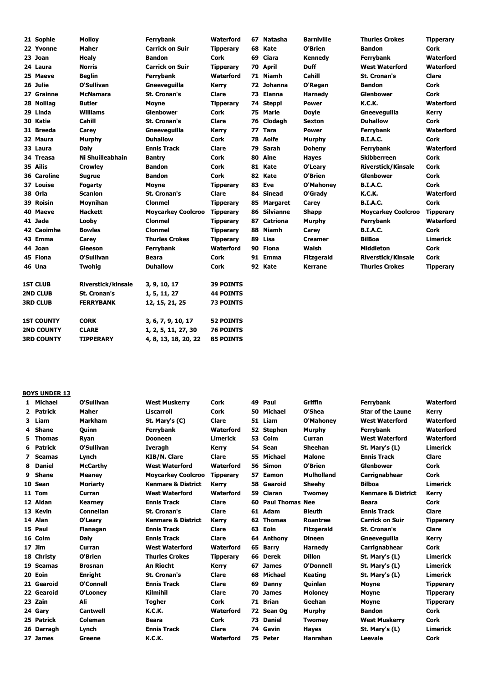| 21 Sophie          | <b>Molloy</b>             | Ferrybank                 | Waterford        |    | 67 Natasha   | <b>Barniville</b> | <b>Thurles Crokes</b>     | <b>Tipperary</b> |
|--------------------|---------------------------|---------------------------|------------------|----|--------------|-------------------|---------------------------|------------------|
| 22 Yvonne          | <b>Maher</b>              | <b>Carrick on Suir</b>    | <b>Tipperary</b> |    | 68 Kate      | O'Brien           | <b>Bandon</b>             | <b>Cork</b>      |
| 23 Joan            | <b>Healy</b>              | <b>Bandon</b>             | <b>Cork</b>      |    | 69 Ciara     | Kennedy           | Ferrybank                 | <b>Waterford</b> |
| 24 Laura           | <b>Norris</b>             | <b>Carrick on Suir</b>    | <b>Tipperary</b> |    | 70 April     | <b>Duff</b>       | <b>West Waterford</b>     | <b>Waterford</b> |
| 25 Maeve           | <b>Beglin</b>             | Ferrybank                 | Waterford        |    | 71 Niamh     | <b>Cahill</b>     | <b>St. Cronan's</b>       | <b>Clare</b>     |
| 26 Julie           | O'Sullivan                | Gneevequilla              | Kerry            |    | 72 Johanna   | O'Regan           | <b>Bandon</b>             | Cork             |
| 27 Grainne         | <b>McNamara</b>           | <b>St. Cronan's</b>       | Clare            |    | 73 Elanna    | <b>Harnedy</b>    | <b>Glenbower</b>          | <b>Cork</b>      |
| 28 Nolliag         | <b>Butler</b>             | <b>Moyne</b>              | <b>Tipperary</b> |    | 74 Steppi    | <b>Power</b>      | <b>K.C.K.</b>             | <b>Waterford</b> |
| 29 Linda           | <b>Williams</b>           | <b>Glenbower</b>          | <b>Cork</b>      |    | 75 Marie     | <b>Doyle</b>      | Gneevequilla              | <b>Kerry</b>     |
| 30 Katie           | Cahill                    | <b>St. Cronan's</b>       | Clare            | 76 | Clodagh      | <b>Sexton</b>     | <b>Duhallow</b>           | <b>Cork</b>      |
| 31 Breeda          | Carey                     | Gneevequilla              | <b>Kerry</b>     | 77 | <b>Tara</b>  | <b>Power</b>      | Ferrybank                 | <b>Waterford</b> |
| 32 Maura           | Murphy                    | <b>Duhallow</b>           | <b>Cork</b>      | 78 | Aoife        | Murphy            | <b>B.I.A.C.</b>           | <b>Cork</b>      |
| 33 Laura           | <b>Daly</b>               | <b>Ennis Track</b>        | Clare            | 79 | Sarah        | <b>Doheny</b>     | Ferrybank                 | Waterford        |
| 34 Treasa          | Ni Shuilleabhain          | <b>Bantry</b>             | <b>Cork</b>      | 80 | Aine         | <b>Hayes</b>      | <b>Skibberreen</b>        | <b>Cork</b>      |
| 35 Ailis           | <b>Crowley</b>            | Bandon                    | Cork             | 81 | Kate         | O'Leary           | <b>Riverstick/Kinsale</b> | <b>Cork</b>      |
| <b>36 Caroline</b> | <b>Sugrue</b>             | <b>Bandon</b>             | <b>Cork</b>      | 82 | Kate         | O'Brien           | <b>Glenbower</b>          | <b>Cork</b>      |
| 37 Louise          | Fogarty                   | <b>Moyne</b>              | <b>Tipperary</b> |    | 83 Eve       | O'Mahoney         | <b>B.I.A.C.</b>           | <b>Cork</b>      |
| 38 Orla            | <b>Scanlon</b>            | <b>St. Cronan's</b>       | Clare            |    | 84 Sinead    | O'Grady           | <b>K.C.K.</b>             | Waterford        |
| 39 Roisin          | <b>Moynihan</b>           | <b>Clonmel</b>            | <b>Tipperary</b> |    | 85 Margaret  | Carey             | <b>B.I.A.C.</b>           | <b>Cork</b>      |
| 40 Maeve           | <b>Hackett</b>            | <b>Moycarkey Coolcroo</b> | <b>Tipperary</b> |    | 86 Silvianne | <b>Shapp</b>      | <b>Moycarkey Coolcroo</b> | <b>Tipperary</b> |
| 41 Jade            | Looby                     | <b>Clonmel</b>            | <b>Tipperary</b> |    | 87 Catriona  | <b>Murphy</b>     | Ferrybank                 | <b>Waterford</b> |
| <b>42 Caoimhe</b>  | <b>Bowles</b>             | <b>Clonmel</b>            | <b>Tipperary</b> | 88 | <b>Niamh</b> | Carey             | <b>B.I.A.C.</b>           | <b>Cork</b>      |
| 43 Emma            | Carey                     | <b>Thurles Crokes</b>     | <b>Tipperary</b> | 89 | Lisa         | <b>Creamer</b>    | <b>BilBoa</b>             | <b>Limerick</b>  |
| 44 Joan            | Gleeson                   | Ferrybank                 | Waterford        | 90 | Fiona        | Walsh             | <b>Middleton</b>          | <b>Cork</b>      |
| 45 Fiona           | O'Sullivan                | Beara                     | Cork             |    | 91 Emma      | <b>Fitzgerald</b> | <b>Riverstick/Kinsale</b> | <b>Cork</b>      |
| 46 Una             | Twohig                    | <b>Duhallow</b>           | <b>Cork</b>      |    | 92 Kate      | Kerrane           | <b>Thurles Crokes</b>     | <b>Tipperary</b> |
| <b>1ST CLUB</b>    | <b>Riverstick/kinsale</b> | 3, 9, 10, 17              | <b>39 POINTS</b> |    |              |                   |                           |                  |
| <b>2ND CLUB</b>    | <b>St. Cronan's</b>       | 1, 5, 11, 27              | <b>44 POINTS</b> |    |              |                   |                           |                  |
| <b>3RD CLUB</b>    | <b>FERRYBANK</b>          | 12, 15, 21, 25            | <b>73 POINTS</b> |    |              |                   |                           |                  |
| <b>1ST COUNTY</b>  | <b>CORK</b>               | 3, 6, 7, 9, 10, 17        | <b>52 POINTS</b> |    |              |                   |                           |                  |
| <b>2ND COUNTY</b>  | <b>CLARE</b>              | 1, 2, 5, 11, 27, 30       | <b>76 POINTS</b> |    |              |                   |                           |                  |
| <b>3RD COUNTY</b>  | <b>TIPPERARY</b>          | 4, 8, 13, 18, 20, 22      | <b>85 POINTS</b> |    |              |                   |                           |                  |

## **BOYS UNDER 13**

| 1.           | <b>Michael</b> | O'Sullivan       | <b>West Muskerry</b>          | Cork             | 49 | Paul                   | Griffin           | <b>Ferrybank</b>              | Waterford        |
|--------------|----------------|------------------|-------------------------------|------------------|----|------------------------|-------------------|-------------------------------|------------------|
| $\mathbf{2}$ | Patrick        | <b>Maher</b>     | Liscarroll                    | Cork             | 50 | Michael                | O'Shea            | <b>Star of the Laune</b>      | Kerry            |
| 3            | Liam           | <b>Markham</b>   | St. Mary's (C)                | Clare            | 51 | Liam                   | O'Mahoney         | <b>West Waterford</b>         | Waterford        |
| 4            | Shane          | Ouinn            | Ferrybank                     | Waterford        |    | 52 Stephen             | <b>Murphy</b>     | Ferrybank                     | Waterford        |
| 5.           | Thomas         | Ryan             | <b>Dooneen</b>                | Limerick         | 53 | Colm                   | Curran            | <b>West Waterford</b>         | Waterford        |
|              | 6 Patrick      | O'Sullivan       | <b>Iveragh</b>                | Kerry            |    | 54 Sean                | <b>Sheehan</b>    | St. Mary's (L)                | <b>Limerick</b>  |
| 7            | <b>Seamas</b>  | Lynch            | <b>KIB/N. Clare</b>           | Clare            | 55 | Michael                | <b>Malone</b>     | <b>Ennis Track</b>            | <b>Clare</b>     |
| 8            | <b>Daniel</b>  | <b>McCarthy</b>  | <b>West Waterford</b>         | Waterford        |    | 56 Simon               | O'Brien           | <b>Glenbower</b>              | <b>Cork</b>      |
| 9            | <b>Shane</b>   | <b>Meaney</b>    | <b>Moycarkey Coolcroo</b>     | <b>Tipperary</b> | 57 | Eamon                  | <b>Mulholland</b> | Carrignabhear                 | Cork             |
|              | 10 Sean        | <b>Moriarty</b>  | <b>Kenmare &amp; District</b> | Kerry            | 58 | Gearoid                | <b>Sheehv</b>     | <b>Bilboa</b>                 | <b>Limerick</b>  |
|              | 11 Tom         | Curran           | <b>West Waterford</b>         | Waterford        |    | 59 Ciaran              | <b>Twomey</b>     | <b>Kenmare &amp; District</b> | Kerry            |
|              | 12 Aidan       | <b>Kearney</b>   | <b>Ennis Track</b>            | Clare            | 60 | <b>Paul Thomas Nee</b> |                   | <b>Beara</b>                  | Cork             |
|              | 13 Kevin       | <b>Connellan</b> | <b>St. Cronan's</b>           | Clare            | 61 | Adam                   | <b>Bleuth</b>     | <b>Ennis Track</b>            | <b>Clare</b>     |
|              | 14 Alan        | O'Leary          | <b>Kenmare &amp; District</b> | <b>Kerry</b>     | 62 | <b>Thomas</b>          | Roantree          | <b>Carrick on Suir</b>        | <b>Tipperary</b> |
|              | 15 Paul        | <b>Flanagan</b>  | <b>Ennis Track</b>            | Clare            | 63 | Eoin                   | <b>Fitzgerald</b> | <b>St. Cronan's</b>           | <b>Clare</b>     |
|              | 16 Colm        | Daly             | <b>Ennis Track</b>            | Clare            | 64 | Anthony                | <b>Dineen</b>     | Gneevequilla                  | Kerry            |
|              | $17$ Jim       | Curran           | <b>West Waterford</b>         | Waterford        | 65 | <b>Barry</b>           | <b>Harnedy</b>    | <b>Carrignabhear</b>          | Cork             |
|              | 18 Christy     | O'Brien          | <b>Thurles Crokes</b>         | <b>Tipperary</b> | 66 | <b>Derek</b>           | <b>Dillon</b>     | St. Mary's (L)                | <b>Limerick</b>  |
|              | 19 Seamas      | <b>Brosnan</b>   | <b>An Riocht</b>              | Kerry            | 67 | <b>James</b>           | O'Donnell         | St. Mary's (L)                | <b>Limerick</b>  |
|              | 20 Eoin        | <b>Enright</b>   | <b>St. Cronan's</b>           | <b>Clare</b>     | 68 | Michael                | <b>Keating</b>    | St. Mary's (L)                | <b>Limerick</b>  |
|              | 21 Gearoid     | O'Connell        | <b>Ennis Track</b>            | Clare            | 69 | Danny                  | <b>Ouinlan</b>    | <b>Moyne</b>                  | <b>Tipperary</b> |
|              | 22 Gearoid     | O'Looney         | <b>Kilmihil</b>               | Clare            | 70 | <b>James</b>           | <b>Moloney</b>    | <b>Moyne</b>                  | <b>Tipperary</b> |
|              | 23 Zain        | Ali              | <b>Togher</b>                 | Cork             | 71 | <b>Brian</b>           | Geehan            | <b>Movne</b>                  | <b>Tipperary</b> |
|              | 24 Gary        | <b>Cantwell</b>  | <b>K.C.K.</b>                 | Waterford        |    | 72 Sean Og             | Murphy            | <b>Bandon</b>                 | Cork             |
|              | 25 Patrick     | Coleman          | <b>Beara</b>                  | <b>Cork</b>      | 73 | <b>Daniel</b>          | <b>Twomey</b>     | <b>West Muskerry</b>          | <b>Cork</b>      |
|              | 26 Darragh     | Lynch            | <b>Ennis Track</b>            | Clare            |    | 74 Gavin               | <b>Hayes</b>      | St. Mary's (L)                | <b>Limerick</b>  |
|              | 27 James       | Greene           | <b>K.C.K.</b>                 | Waterford        |    | 75 Peter               | Hanrahan          | Leevale                       | <b>Cork</b>      |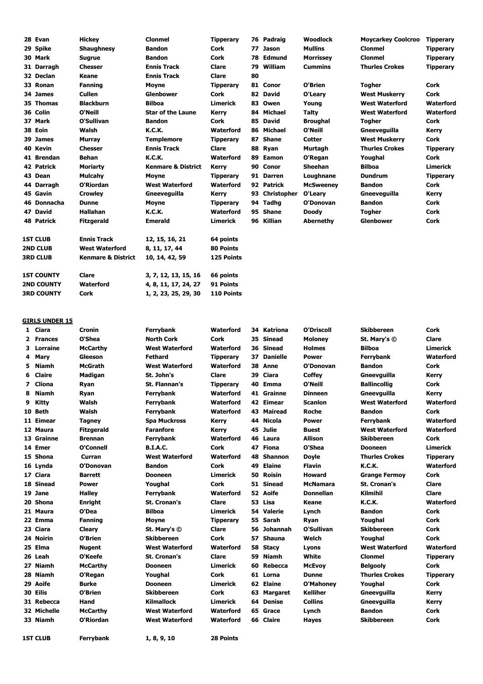| 28 Evan           | <b>Hickey</b>                 | <b>Clonmel</b>                | <b>Tipperary</b> |    | 76 Padraig     | <b>Woodlock</b>  | <b>Moycarkey Coolcroo</b> | <b>Tipperary</b> |
|-------------------|-------------------------------|-------------------------------|------------------|----|----------------|------------------|---------------------------|------------------|
| 29 Spike          | <b>Shaughnesy</b>             | <b>Bandon</b>                 | <b>Cork</b>      | 77 | <b>Jason</b>   | <b>Mullins</b>   | <b>Clonmel</b>            | <b>Tipperary</b> |
| 30 Mark           | <b>Sugrue</b>                 | <b>Bandon</b>                 | <b>Cork</b>      | 78 | Edmund         | <b>Morrissey</b> | <b>Clonmel</b>            | <b>Tipperary</b> |
| 31 Darragh        | <b>Chesser</b>                | <b>Ennis Track</b>            | <b>Clare</b>     | 79 | William        | <b>Cummins</b>   | <b>Thurles Crokes</b>     | <b>Tipperary</b> |
| 32 Declan         | <b>Keane</b>                  | <b>Ennis Track</b>            | <b>Clare</b>     | 80 |                |                  |                           |                  |
| 33 Ronan          | <b>Fanning</b>                | <b>Moyne</b>                  | <b>Tipperary</b> |    | 81 Conor       | O'Brien          | <b>Togher</b>             | <b>Cork</b>      |
| 34 James          | <b>Cullen</b>                 | <b>Glenbower</b>              | Cork             | 82 | David          | O'Learv          | <b>West Muskerry</b>      | <b>Cork</b>      |
| 35 Thomas         | <b>Blackburn</b>              | <b>Bilboa</b>                 | <b>Limerick</b>  | 83 | Owen           | Young            | <b>West Waterford</b>     | Waterford        |
| 36 Colin          | O'Neill                       | <b>Star of the Laune</b>      | Kerry            | 84 | Michael        | <b>Talty</b>     | <b>West Waterford</b>     | Waterford        |
| 37 Mark           | O'Sullivan                    | <b>Bandon</b>                 | <b>Cork</b>      |    | 85 David       | <b>Broughal</b>  | <b>Togher</b>             | <b>Cork</b>      |
| 38 Eoin           | Walsh                         | <b>K.C.K.</b>                 | <b>Waterford</b> |    | 86 Michael     | O'Neill          | Gneevequilla              | Kerry            |
| 39 James          | <b>Murray</b>                 | <b>Templemore</b>             | <b>Tipperary</b> | 87 | <b>Shane</b>   | <b>Cotter</b>    | <b>West Muskerry</b>      | Cork             |
| 40 Kevin          | <b>Chesser</b>                | <b>Ennis Track</b>            | <b>Clare</b>     | 88 | Ryan           | Murtagh          | <b>Thurles Crokes</b>     | <b>Tipperary</b> |
| 41 Brendan        | <b>Behan</b>                  | <b>K.C.K.</b>                 | <b>Waterford</b> | 89 | Eamon          | O'Regan          | Youghal                   | <b>Cork</b>      |
| <b>42 Patrick</b> | <b>Moriarty</b>               | <b>Kenmare &amp; District</b> | Kerry            | 90 | Conor          | <b>Sheehan</b>   | <b>Bilboa</b>             | <b>Limerick</b>  |
| 43 Dean           | <b>Mulcahy</b>                | <b>Moyne</b>                  | <b>Tipperary</b> |    | 91 Darren      | Loughnane        | <b>Dundrum</b>            | <b>Tipperary</b> |
| 44 Darragh        | O'Riordan                     | <b>West Waterford</b>         | <b>Waterford</b> |    | 92 Patrick     | <b>McSweenev</b> | <b>Bandon</b>             | <b>Cork</b>      |
| 45 Gavin          | <b>Crowley</b>                | Gneevequilla                  | Kerry            |    | 93 Christopher | O'Leary          | Gneevequilla              | Kerry            |
| 46 Donnacha       | <b>Dunne</b>                  | Moyne                         | <b>Tipperary</b> | 94 | Tadhg          | O'Donovan        | <b>Bandon</b>             | <b>Cork</b>      |
| 47 David          | <b>Hallahan</b>               | <b>K.C.K.</b>                 | Waterford        |    | 95 Shane       | <b>Doody</b>     | <b>Togher</b>             | Cork             |
| 48 Patrick        | <b>Fitzgerald</b>             | <b>Emerald</b>                | <b>Limerick</b>  |    | 96 Killian     | <b>Abernethy</b> | <b>Glenbower</b>          | <b>Cork</b>      |
| <b>1ST CLUB</b>   | <b>Ennis Track</b>            | 12, 15, 16, 21                | 64 points        |    |                |                  |                           |                  |
| 2ND CLUB          | <b>West Waterford</b>         | 8, 11, 17, 44                 | 80 Points        |    |                |                  |                           |                  |
| <b>3RD CLUB</b>   | <b>Kenmare &amp; District</b> | 10, 14, 42, 59                | 125 Points       |    |                |                  |                           |                  |
| <b>1ST COUNTY</b> | Clare                         | 3, 7, 12, 13, 15, 16          | 66 points        |    |                |                  |                           |                  |
| <b>2ND COUNTY</b> | Waterford                     | 4, 8, 11, 17, 24, 27          | 91 Points        |    |                |                  |                           |                  |
| <b>3RD COUNTY</b> | <b>Cork</b>                   | 1, 2, 23, 25, 29, 30          | 110 Points       |    |                |                  |                           |                  |

### **GIRLS UNDER 15**

| GINLJ UNDLN 1J |                                                                                                                                                                                                                                                                                                                                                                                                                                     |                                                                                                                                                                                                                  |                                                                                                                                                                                                                                                                                                      |                                                                                                                                                                                                                             |          |                                                                                                                                                                                                                                                                                                                                                                                                                      |                                                                                                                                                                                                                                                         | Cork                                                                                                                                                                                                                                                                                                           |
|----------------|-------------------------------------------------------------------------------------------------------------------------------------------------------------------------------------------------------------------------------------------------------------------------------------------------------------------------------------------------------------------------------------------------------------------------------------|------------------------------------------------------------------------------------------------------------------------------------------------------------------------------------------------------------------|------------------------------------------------------------------------------------------------------------------------------------------------------------------------------------------------------------------------------------------------------------------------------------------------------|-----------------------------------------------------------------------------------------------------------------------------------------------------------------------------------------------------------------------------|----------|----------------------------------------------------------------------------------------------------------------------------------------------------------------------------------------------------------------------------------------------------------------------------------------------------------------------------------------------------------------------------------------------------------------------|---------------------------------------------------------------------------------------------------------------------------------------------------------------------------------------------------------------------------------------------------------|----------------------------------------------------------------------------------------------------------------------------------------------------------------------------------------------------------------------------------------------------------------------------------------------------------------|
|                |                                                                                                                                                                                                                                                                                                                                                                                                                                     |                                                                                                                                                                                                                  |                                                                                                                                                                                                                                                                                                      |                                                                                                                                                                                                                             |          |                                                                                                                                                                                                                                                                                                                                                                                                                      |                                                                                                                                                                                                                                                         | Clare                                                                                                                                                                                                                                                                                                          |
|                |                                                                                                                                                                                                                                                                                                                                                                                                                                     |                                                                                                                                                                                                                  |                                                                                                                                                                                                                                                                                                      |                                                                                                                                                                                                                             |          |                                                                                                                                                                                                                                                                                                                                                                                                                      |                                                                                                                                                                                                                                                         | <b>Limerick</b>                                                                                                                                                                                                                                                                                                |
|                |                                                                                                                                                                                                                                                                                                                                                                                                                                     |                                                                                                                                                                                                                  |                                                                                                                                                                                                                                                                                                      |                                                                                                                                                                                                                             |          |                                                                                                                                                                                                                                                                                                                                                                                                                      |                                                                                                                                                                                                                                                         | Waterford                                                                                                                                                                                                                                                                                                      |
|                |                                                                                                                                                                                                                                                                                                                                                                                                                                     |                                                                                                                                                                                                                  |                                                                                                                                                                                                                                                                                                      |                                                                                                                                                                                                                             |          |                                                                                                                                                                                                                                                                                                                                                                                                                      |                                                                                                                                                                                                                                                         | <b>Cork</b>                                                                                                                                                                                                                                                                                                    |
|                |                                                                                                                                                                                                                                                                                                                                                                                                                                     |                                                                                                                                                                                                                  |                                                                                                                                                                                                                                                                                                      |                                                                                                                                                                                                                             |          |                                                                                                                                                                                                                                                                                                                                                                                                                      |                                                                                                                                                                                                                                                         |                                                                                                                                                                                                                                                                                                                |
|                |                                                                                                                                                                                                                                                                                                                                                                                                                                     |                                                                                                                                                                                                                  |                                                                                                                                                                                                                                                                                                      |                                                                                                                                                                                                                             |          |                                                                                                                                                                                                                                                                                                                                                                                                                      |                                                                                                                                                                                                                                                         | Kerry                                                                                                                                                                                                                                                                                                          |
|                |                                                                                                                                                                                                                                                                                                                                                                                                                                     |                                                                                                                                                                                                                  |                                                                                                                                                                                                                                                                                                      |                                                                                                                                                                                                                             |          |                                                                                                                                                                                                                                                                                                                                                                                                                      |                                                                                                                                                                                                                                                         | <b>Cork</b>                                                                                                                                                                                                                                                                                                    |
|                |                                                                                                                                                                                                                                                                                                                                                                                                                                     |                                                                                                                                                                                                                  |                                                                                                                                                                                                                                                                                                      |                                                                                                                                                                                                                             |          |                                                                                                                                                                                                                                                                                                                                                                                                                      |                                                                                                                                                                                                                                                         | Kerry                                                                                                                                                                                                                                                                                                          |
|                |                                                                                                                                                                                                                                                                                                                                                                                                                                     |                                                                                                                                                                                                                  |                                                                                                                                                                                                                                                                                                      |                                                                                                                                                                                                                             |          |                                                                                                                                                                                                                                                                                                                                                                                                                      |                                                                                                                                                                                                                                                         | Waterford                                                                                                                                                                                                                                                                                                      |
|                |                                                                                                                                                                                                                                                                                                                                                                                                                                     |                                                                                                                                                                                                                  |                                                                                                                                                                                                                                                                                                      |                                                                                                                                                                                                                             |          |                                                                                                                                                                                                                                                                                                                                                                                                                      |                                                                                                                                                                                                                                                         | <b>Cork</b>                                                                                                                                                                                                                                                                                                    |
|                |                                                                                                                                                                                                                                                                                                                                                                                                                                     |                                                                                                                                                                                                                  |                                                                                                                                                                                                                                                                                                      |                                                                                                                                                                                                                             |          |                                                                                                                                                                                                                                                                                                                                                                                                                      |                                                                                                                                                                                                                                                         | Waterford                                                                                                                                                                                                                                                                                                      |
|                |                                                                                                                                                                                                                                                                                                                                                                                                                                     |                                                                                                                                                                                                                  |                                                                                                                                                                                                                                                                                                      |                                                                                                                                                                                                                             |          |                                                                                                                                                                                                                                                                                                                                                                                                                      |                                                                                                                                                                                                                                                         | Waterford                                                                                                                                                                                                                                                                                                      |
|                |                                                                                                                                                                                                                                                                                                                                                                                                                                     |                                                                                                                                                                                                                  |                                                                                                                                                                                                                                                                                                      |                                                                                                                                                                                                                             |          |                                                                                                                                                                                                                                                                                                                                                                                                                      |                                                                                                                                                                                                                                                         | Cork                                                                                                                                                                                                                                                                                                           |
|                |                                                                                                                                                                                                                                                                                                                                                                                                                                     |                                                                                                                                                                                                                  |                                                                                                                                                                                                                                                                                                      |                                                                                                                                                                                                                             |          |                                                                                                                                                                                                                                                                                                                                                                                                                      |                                                                                                                                                                                                                                                         | <b>Limerick</b>                                                                                                                                                                                                                                                                                                |
|                |                                                                                                                                                                                                                                                                                                                                                                                                                                     |                                                                                                                                                                                                                  |                                                                                                                                                                                                                                                                                                      |                                                                                                                                                                                                                             |          |                                                                                                                                                                                                                                                                                                                                                                                                                      |                                                                                                                                                                                                                                                         | <b>Tipperary</b>                                                                                                                                                                                                                                                                                               |
|                |                                                                                                                                                                                                                                                                                                                                                                                                                                     |                                                                                                                                                                                                                  |                                                                                                                                                                                                                                                                                                      |                                                                                                                                                                                                                             |          |                                                                                                                                                                                                                                                                                                                                                                                                                      |                                                                                                                                                                                                                                                         | Waterford                                                                                                                                                                                                                                                                                                      |
|                | <b>Barrett</b>                                                                                                                                                                                                                                                                                                                                                                                                                      | <b>Dooneen</b>                                                                                                                                                                                                   | Limerick                                                                                                                                                                                                                                                                                             |                                                                                                                                                                                                                             | Roisin   | <b>Howard</b>                                                                                                                                                                                                                                                                                                                                                                                                        | <b>Grange Fermov</b>                                                                                                                                                                                                                                    | Cork                                                                                                                                                                                                                                                                                                           |
|                | <b>Power</b>                                                                                                                                                                                                                                                                                                                                                                                                                        | Youghal                                                                                                                                                                                                          | Cork                                                                                                                                                                                                                                                                                                 |                                                                                                                                                                                                                             |          | <b>McNamara</b>                                                                                                                                                                                                                                                                                                                                                                                                      | <b>St. Cronan's</b>                                                                                                                                                                                                                                     | Clare                                                                                                                                                                                                                                                                                                          |
|                | <b>Halley</b>                                                                                                                                                                                                                                                                                                                                                                                                                       | Ferrybank                                                                                                                                                                                                        | <b>Waterford</b>                                                                                                                                                                                                                                                                                     |                                                                                                                                                                                                                             |          | <b>Donnellan</b>                                                                                                                                                                                                                                                                                                                                                                                                     | <b>Kilmihil</b>                                                                                                                                                                                                                                         | Clare                                                                                                                                                                                                                                                                                                          |
|                | <b>Enright</b>                                                                                                                                                                                                                                                                                                                                                                                                                      | <b>St. Cronan's</b>                                                                                                                                                                                              | Clare                                                                                                                                                                                                                                                                                                |                                                                                                                                                                                                                             |          | Keane                                                                                                                                                                                                                                                                                                                                                                                                                | <b>K.C.K.</b>                                                                                                                                                                                                                                           | Waterford                                                                                                                                                                                                                                                                                                      |
|                | O'Dea                                                                                                                                                                                                                                                                                                                                                                                                                               | <b>Bilboa</b>                                                                                                                                                                                                    | <b>Limerick</b>                                                                                                                                                                                                                                                                                      |                                                                                                                                                                                                                             |          | Lynch                                                                                                                                                                                                                                                                                                                                                                                                                | <b>Bandon</b>                                                                                                                                                                                                                                           | <b>Cork</b>                                                                                                                                                                                                                                                                                                    |
|                | <b>Fanning</b>                                                                                                                                                                                                                                                                                                                                                                                                                      | Moyne                                                                                                                                                                                                            | <b>Tipperary</b>                                                                                                                                                                                                                                                                                     |                                                                                                                                                                                                                             |          | Ryan                                                                                                                                                                                                                                                                                                                                                                                                                 | Youghal                                                                                                                                                                                                                                                 | Cork                                                                                                                                                                                                                                                                                                           |
|                | Cleary                                                                                                                                                                                                                                                                                                                                                                                                                              | St. Mary's ©                                                                                                                                                                                                     | Clare                                                                                                                                                                                                                                                                                                | 56                                                                                                                                                                                                                          |          | O'Sullivan                                                                                                                                                                                                                                                                                                                                                                                                           | Skibbereen                                                                                                                                                                                                                                              | Cork                                                                                                                                                                                                                                                                                                           |
|                | O'Brien                                                                                                                                                                                                                                                                                                                                                                                                                             | <b>Skibbereen</b>                                                                                                                                                                                                | Cork                                                                                                                                                                                                                                                                                                 |                                                                                                                                                                                                                             |          | Welch                                                                                                                                                                                                                                                                                                                                                                                                                | Youghal                                                                                                                                                                                                                                                 | <b>Cork</b>                                                                                                                                                                                                                                                                                                    |
|                | <b>Nugent</b>                                                                                                                                                                                                                                                                                                                                                                                                                       | <b>West Waterford</b>                                                                                                                                                                                            | Waterford                                                                                                                                                                                                                                                                                            |                                                                                                                                                                                                                             |          | Lyons                                                                                                                                                                                                                                                                                                                                                                                                                | <b>West Waterford</b>                                                                                                                                                                                                                                   | Waterford                                                                                                                                                                                                                                                                                                      |
|                | O'Keefe                                                                                                                                                                                                                                                                                                                                                                                                                             | <b>St. Cronan's</b>                                                                                                                                                                                              | Clare                                                                                                                                                                                                                                                                                                | 59                                                                                                                                                                                                                          | Niamh    | White                                                                                                                                                                                                                                                                                                                                                                                                                | <b>Clonmel</b>                                                                                                                                                                                                                                          | <b>Tipperary</b>                                                                                                                                                                                                                                                                                               |
|                | <b>McCarthy</b>                                                                                                                                                                                                                                                                                                                                                                                                                     | <b>Dooneen</b>                                                                                                                                                                                                   | <b>Limerick</b>                                                                                                                                                                                                                                                                                      |                                                                                                                                                                                                                             |          | <b>McEvoy</b>                                                                                                                                                                                                                                                                                                                                                                                                        | <b>Belgooly</b>                                                                                                                                                                                                                                         | <b>Cork</b>                                                                                                                                                                                                                                                                                                    |
|                | O'Regan                                                                                                                                                                                                                                                                                                                                                                                                                             | Youghal                                                                                                                                                                                                          | Cork                                                                                                                                                                                                                                                                                                 |                                                                                                                                                                                                                             |          | <b>Dunne</b>                                                                                                                                                                                                                                                                                                                                                                                                         | <b>Thurles Crokes</b>                                                                                                                                                                                                                                   | <b>Tipperary</b>                                                                                                                                                                                                                                                                                               |
|                | <b>Burke</b>                                                                                                                                                                                                                                                                                                                                                                                                                        | Dooneen                                                                                                                                                                                                          | <b>Limerick</b>                                                                                                                                                                                                                                                                                      |                                                                                                                                                                                                                             |          | <b>O'Mahoney</b>                                                                                                                                                                                                                                                                                                                                                                                                     | Youghal                                                                                                                                                                                                                                                 | Cork                                                                                                                                                                                                                                                                                                           |
|                | O'Brien                                                                                                                                                                                                                                                                                                                                                                                                                             | <b>Skibbereen</b>                                                                                                                                                                                                | Cork                                                                                                                                                                                                                                                                                                 |                                                                                                                                                                                                                             |          | <b>Kelliher</b>                                                                                                                                                                                                                                                                                                                                                                                                      | Gneevguilla                                                                                                                                                                                                                                             | Kerry                                                                                                                                                                                                                                                                                                          |
|                | Hand                                                                                                                                                                                                                                                                                                                                                                                                                                | <b>Kilmallock</b>                                                                                                                                                                                                | <b>Limerick</b>                                                                                                                                                                                                                                                                                      |                                                                                                                                                                                                                             |          | <b>Collins</b>                                                                                                                                                                                                                                                                                                                                                                                                       |                                                                                                                                                                                                                                                         | Kerry                                                                                                                                                                                                                                                                                                          |
|                | <b>McCarthy</b>                                                                                                                                                                                                                                                                                                                                                                                                                     | <b>West Waterford</b>                                                                                                                                                                                            | Waterford                                                                                                                                                                                                                                                                                            |                                                                                                                                                                                                                             |          | Lynch                                                                                                                                                                                                                                                                                                                                                                                                                | <b>Bandon</b>                                                                                                                                                                                                                                           | Cork                                                                                                                                                                                                                                                                                                           |
|                | O'Riordan                                                                                                                                                                                                                                                                                                                                                                                                                           | <b>West Waterford</b>                                                                                                                                                                                            | <b>Waterford</b>                                                                                                                                                                                                                                                                                     |                                                                                                                                                                                                                             |          | Hayes                                                                                                                                                                                                                                                                                                                                                                                                                | Skibbereen                                                                                                                                                                                                                                              | <b>Cork</b>                                                                                                                                                                                                                                                                                                    |
|                | <b>Ferrybank</b>                                                                                                                                                                                                                                                                                                                                                                                                                    | 1, 8, 9, 10                                                                                                                                                                                                      | 28 Points                                                                                                                                                                                                                                                                                            |                                                                                                                                                                                                                             |          |                                                                                                                                                                                                                                                                                                                                                                                                                      |                                                                                                                                                                                                                                                         |                                                                                                                                                                                                                                                                                                                |
| 3<br>4         | 1 Ciara<br>2 Frances<br>Lorraine<br>Mary<br>5 Niamh<br><b>Claire</b><br>Cliona<br>7<br><b>Niamh</b><br>Kitty<br>10 Beth<br>11 Eimear<br>12 Maura<br>13 Grainne<br>14 Emer<br>15 Shona<br>16 Lynda<br>17 Ciara<br>18 Sinead<br>19 Jane<br>20 Shona<br>21 Maura<br>22 Emma<br>23 Ciara<br>24 Noirin<br>25 Elma<br>26 Leah<br>27 Niamh<br>28 Niamh<br>29 Aoife<br>30 Eilis<br>31 Rebecca<br>32 Michelle<br>33 Niamh<br><b>1ST CLUB</b> | Cronin<br>O'Shea<br><b>McCarthy</b><br>Gleeson<br><b>McGrath</b><br><b>Madigan</b><br>Ryan<br>Ryan<br>Walsh<br>Walsh<br><b>Tagney</b><br><b>Fitzgerald</b><br><b>Brennan</b><br>O'Connell<br>Curran<br>O'Donovan | Ferrybank<br><b>North Cork</b><br><b>West Waterford</b><br><b>Fethard</b><br><b>West Waterford</b><br>St. John's<br>St. Flannan's<br>Ferrybank<br>Ferrybank<br>Ferrybank<br><b>Spa Muckross</b><br><b>Faranfore</b><br><b>Ferrybank</b><br><b>B.I.A.C.</b><br><b>West Waterford</b><br><b>Bandon</b> | <b>Waterford</b><br>Cork<br>Waterford<br><b>Tipperary</b><br>Waterford<br>Clare<br><b>Tipperary</b><br><b>Waterford</b><br>Waterford<br><b>Waterford</b><br>Kerry<br>Kerry<br>Waterford<br>Cork<br>Waterford<br><b>Cork</b> | 45<br>49 | 34 Katriona<br>35 Sinead<br>36 Sinead<br>37 Danielle<br>38 Anne<br>39 Ciara<br>40<br>Emma<br>41 Grainne<br>42 Eimear<br>43 Mairead<br>44 Nicola<br>Julie<br>46 Laura<br>47 Fiona<br>48 Shannon<br><b>Elaine</b><br>50<br>51 Sinead<br>52 Aoife<br>53 Lisa<br>54 Valerie<br>55 Sarah<br>Johannah<br>57 Shauna<br>58 Stacy<br>60 Rebecca<br>61 Lorna<br>62 Elaine<br>63 Margaret<br>64 Denise<br>65 Grace<br>66 Claire | O'Driscoll<br><b>Molonev</b><br><b>Holmes</b><br><b>Power</b><br>O'Donovan<br><b>Coffey</b><br>O'Neill<br><b>Dinneen</b><br><b>Scanlon</b><br><b>Roche</b><br><b>Power</b><br><b>Buest</b><br><b>Allison</b><br>O'Shea<br><b>Doyle</b><br><b>Flavin</b> | Skibbereen<br>St. Mary's ©<br><b>Bilboa</b><br><b>Ferrybank</b><br><b>Bandon</b><br>Gneevguilla<br><b>Ballincollig</b><br>Gneevguilla<br><b>West Waterford</b><br><b>Bandon</b><br>Ferrybank<br><b>West Waterford</b><br>Skibbereen<br><b>Dooneen</b><br><b>Thurles Crokes</b><br><b>K.C.K.</b><br>Gneevguilla |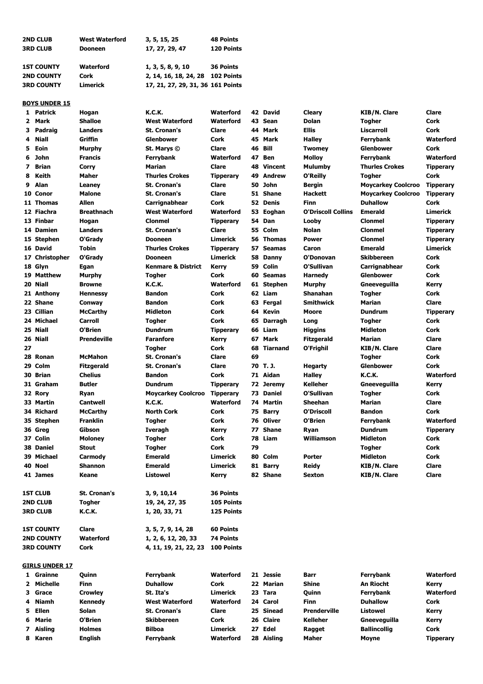| <b>2ND CLUB</b>   | <b>West Waterford</b> | 3, 5, 15, 25                      | <b>48 Points</b> |
|-------------------|-----------------------|-----------------------------------|------------------|
| <b>3RD CLUB</b>   | <b>Dooneen</b>        | 17, 27, 29, 47                    | 120 Points       |
| <b>1ST COUNTY</b> | <b>Waterford</b>      | 1, 3, 5, 8, 9, 10                 | 36 Points        |
| <b>2ND COUNTY</b> | Cork                  | 2, 14, 16, 18, 24, 28 102 Points  |                  |
| <b>3RD COUNTY</b> | <b>Limerick</b>       | 17, 21, 27, 29, 31, 36 161 Points |                  |

## **BOYS UNDER 15**

|                | 1 Patrick             | Hogan                   | <b>K.C.K.</b>                 | Waterford                 |    | 42 David      | Cleary                    | <b>KIB/N. Clare</b>       | Clare            |
|----------------|-----------------------|-------------------------|-------------------------------|---------------------------|----|---------------|---------------------------|---------------------------|------------------|
| $\mathbf{2}$   | Mark                  | <b>Shalloe</b>          | <b>West Waterford</b>         | <b>Waterford</b>          |    | 43 Sean       | Dolan                     | <b>Togher</b>             | Cork             |
| з              | Padraig               | <b>Landers</b>          | <b>St. Cronan's</b>           | Clare                     |    | 44 Mark       | <b>Ellis</b>              | Liscarroll                | Cork             |
| 4              | <b>Niall</b>          | Griffin                 | <b>Glenbower</b>              | Cork                      |    | 45 Mark       | <b>Halley</b>             | Ferrybank                 | Waterford        |
| 5              | Eoin                  | Murphy                  | St. Marys ©                   | Clare                     |    | 46 Bill       | <b>Twomey</b>             | <b>Glenbower</b>          | Cork             |
| 6              | John                  | <b>Francis</b>          | Ferrybank                     | Waterford                 | 47 | <b>Ben</b>    | <b>Molloy</b>             | Ferrybank                 | Waterford        |
| $\overline{ }$ | <b>Brian</b>          | Corry                   | Marian                        | Clare                     |    | 48 Vincent    | <b>Mulumby</b>            | <b>Thurles Crokes</b>     | <b>Tipperary</b> |
| 8              | Keith                 | Maher                   | <b>Thurles Crokes</b>         | <b>Tipperary</b>          |    | 49 Andrew     | O'Reilly                  | <b>Togher</b>             | Cork             |
| 9              | Alan                  | Leaney                  | <b>St. Cronan's</b>           | Clare                     |    | 50 John       | Bergin                    | <b>Moycarkey Coolcroo</b> | <b>Tipperary</b> |
|                | 10 Conor              | <b>Malone</b>           | <b>St. Cronan's</b>           | Clare                     |    | 51 Shane      | <b>Hackett</b>            | <b>Moycarkey Coolcroo</b> | <b>Tipperary</b> |
|                | 11 Thomas             | <b>Allen</b>            | Carrignabhear                 | Cork                      |    | 52 Denis      | <b>Finn</b>               | <b>Duhallow</b>           | Cork             |
|                | 12 Fiachra            | <b>Breathnach</b>       | <b>West Waterford</b>         | Waterford                 |    | 53 Eoghan     | <b>O'Driscoll Collins</b> | <b>Emerald</b>            | <b>Limerick</b>  |
|                | 13 Finbar             |                         | <b>Clonmel</b>                |                           |    | 54 Dan        | Looby                     | <b>Clonmel</b>            | <b>Tipperary</b> |
|                |                       | Hogan<br><b>Landers</b> |                               | <b>Tipperary</b><br>Clare |    | 55 Colm       | <b>Nolan</b>              | <b>Clonmel</b>            |                  |
|                | 14 Damien             |                         | <b>St. Cronan's</b>           |                           |    |               |                           |                           | <b>Tipperary</b> |
|                | 15 Stephen            | O'Grady                 | <b>Dooneen</b>                | <b>Limerick</b>           |    | 56 Thomas     | <b>Power</b>              | <b>Clonmel</b>            | <b>Tipperary</b> |
|                | 16 David              | <b>Tobin</b>            | <b>Thurles Crokes</b>         | <b>Tipperary</b>          |    | 57 Seamas     | Caron                     | <b>Emerald</b>            | <b>Limerick</b>  |
|                | 17 Christopher        | O'Grady                 | <b>Dooneen</b>                | Limerick                  |    | 58 Danny      | O'Donovan                 | <b>Skibbereen</b>         | Cork             |
|                | 18 Glyn               | Egan                    | <b>Kenmare &amp; District</b> | <b>Kerry</b>              |    | 59 Colin      | O'Sullivan                | Carrignabhear             | Cork             |
|                | 19 Matthew            | Murphy                  | Togher                        | Cork                      | 60 | <b>Seamas</b> | Harnedy                   | <b>Glenbower</b>          | Cork             |
|                | 20 Niall              | <b>Browne</b>           | <b>K.C.K.</b>                 | <b>Waterford</b>          |    | 61 Stephen    | Murphy                    | Gneeveguilla              | Kerry            |
|                | 21 Anthony            | <b>Hennessy</b>         | <b>Bandon</b>                 | Cork                      |    | 62 Liam       | Shanahan                  | Togher                    | Cork             |
|                | 22 Shane              | Conway                  | <b>Bandon</b>                 | Cork                      |    | 63 Fergal     | <b>Smithwick</b>          | Marian                    | Clare            |
|                | 23 Cillian            | <b>McCarthy</b>         | <b>Midleton</b>               | Cork                      |    | 64 Kevin      | Moore                     | <b>Dundrum</b>            | <b>Tipperary</b> |
|                | 24 Michael            | <b>Carroll</b>          | <b>Togher</b>                 | Cork                      |    | 65 Darragh    | Long                      | <b>Togher</b>             | Cork             |
|                | 25 Niall              | O'Brien                 | <b>Dundrum</b>                | <b>Tipperary</b>          |    | 66 Liam       | <b>Higgins</b>            | <b>Midleton</b>           | Cork             |
|                | 26 Niall              | <b>Prendeville</b>      | <b>Faranfore</b>              | <b>Kerry</b>              | 67 | Mark          | <b>Fitzgerald</b>         | Marian                    | Clare            |
| 27             |                       |                         | Togher                        | Cork                      |    | 68 Tiarnand   | O'Frighil                 | <b>KIB/N. Clare</b>       | Clare            |
|                | 28 Ronan              | <b>McMahon</b>          | <b>St. Cronan's</b>           | Clare                     | 69 |               |                           | Togher                    | Cork             |
|                | 29 Colm               | <b>Fitzgerald</b>       | <b>St. Cronan's</b>           | Clare                     |    | 70 T.J.       | <b>Hegarty</b>            | <b>Glenbower</b>          | <b>Cork</b>      |
|                | 30 Brian              | <b>Chelius</b>          | <b>Bandon</b>                 | Cork                      |    | 71 Aidan      | <b>Halley</b>             | <b>K.C.K.</b>             | Waterford        |
|                | 31 Graham             | <b>Butler</b>           | <b>Dundrum</b>                | <b>Tipperary</b>          |    | 72 Jeremy     | <b>Kelleher</b>           | Gneeveguilla              | Kerry            |
|                | 32 Rory               | Ryan                    | <b>Moycarkey Coolcroo</b>     | <b>Tipperary</b>          |    | 73 Daniel     | O'Sullivan                | Togher                    | Cork             |
|                | 33 Martin             | <b>Cantwell</b>         | <b>K.C.K.</b>                 | Waterford                 |    | 74 Martin     | <b>Sheehan</b>            | Marian                    | Clare            |
|                | 34 Richard            | <b>McCarthy</b>         | <b>North Cork</b>             | Cork                      | 75 | <b>Barry</b>  | O'Driscoll                | <b>Bandon</b>             | Cork             |
|                | 35 Stephen            | <b>Franklin</b>         | Togher                        | Cork                      |    | 76 Oliver     | O'Brien                   | Ferrybank                 | Waterford        |
|                | 36 Greg               | Gibson                  | <b>Iveragh</b>                | <b>Kerry</b>              | 77 | <b>Shane</b>  | Ryan                      | <b>Dundrum</b>            | <b>Tipperary</b> |
|                | 37 Colin              | <b>Moloney</b>          | Togher                        | Cork                      |    | 78 Liam       | Williamson                | <b>Midleton</b>           | Cork             |
|                | 38 Daniel             | <b>Stout</b>            | Togher                        | Cork                      | 79 |               |                           | Togher                    | Cork             |
|                | 39 Michael            | Carmody                 | <b>Emerald</b>                | Limerick                  |    | 80 Colm       | <b>Porter</b>             | <b>Midleton</b>           | Cork             |
|                | 40 Noel               | <b>Shannon</b>          | <b>Emerald</b>                | <b>Limerick</b>           |    | 81 Barry      | <b>Reidy</b>              | <b>KIB/N. Clare</b>       | Clare            |
|                | 41 James              | Keane                   | <b>Listowel</b>               | Kerry                     |    | 82 Shane      | <b>Sexton</b>             | <b>KIB/N. Clare</b>       | <b>Clare</b>     |
|                |                       |                         |                               |                           |    |               |                           |                           |                  |
|                | <b>1ST CLUB</b>       | St. Cronan's            | 3, 9, 10, 14                  | 36 Points                 |    |               |                           |                           |                  |
|                | <b>2ND CLUB</b>       | <b>Togher</b>           | 19, 24, 27, 35                | 105 Points                |    |               |                           |                           |                  |
|                | <b>3RD CLUB</b>       | K.C.K.                  | 1, 20, 33, 71                 | 125 Points                |    |               |                           |                           |                  |
|                |                       |                         |                               |                           |    |               |                           |                           |                  |
|                | <b>1ST COUNTY</b>     | Clare                   | 3, 5, 7, 9, 14, 28            | <b>60 Points</b>          |    |               |                           |                           |                  |
|                | <b>2ND COUNTY</b>     | Waterford               | 1, 2, 6, 12, 20, 33           | <b>74 Points</b>          |    |               |                           |                           |                  |
|                | <b>3RD COUNTY</b>     | Cork                    | 4, 11, 19, 21, 22, 23         | 100 Points                |    |               |                           |                           |                  |
|                |                       |                         |                               |                           |    |               |                           |                           |                  |
|                | <b>GIRLS UNDER 17</b> |                         |                               |                           |    |               |                           |                           |                  |
|                | 1 Grainne             | Quinn                   | Ferrybank                     | Waterford                 |    | 21 Jessie     | Barr                      | Ferrybank                 | <b>Waterford</b> |
|                | 2 Michelle            | <b>Finn</b>             | <b>Duhallow</b>               | Cork                      |    | 22 Marian     | Shine                     | An Riocht                 | Kerry            |
|                | 3 Grace               | <b>Crowley</b>          | St. Ita's                     | Limerick                  |    | 23 Tara       | Quinn                     | Ferrybank                 | Waterford        |
| 4              | <b>Niamh</b>          | <b>Kennedy</b>          | <b>West Waterford</b>         | Waterford                 |    | 24 Carol      | <b>Finn</b>               | <b>Duhallow</b>           | Cork             |
| 5              | Ellen                 | Solan                   | <b>St. Cronan's</b>           | Clare                     |    | 25 Sinead     | <b>Prenderville</b>       | Listowel                  | Kerry            |
| 6              | Marie                 | O'Brien                 | <b>Skibbereen</b>             | Cork                      |    | 26 Claire     | Kelleher                  | Gneeveguilla              | Kerry            |
|                | 7 Aisling             | <b>Holmes</b>           | <b>Bilboa</b>                 | Limerick                  |    | 27 Edel       | Ragget                    | <b>Ballincollig</b>       | Cork             |
|                | 8 Karen               | <b>English</b>          | Ferrybank                     | Waterford                 |    | 28 Aisling    | Maher                     | Moyne                     | <b>Tipperary</b> |
|                |                       |                         |                               |                           |    |               |                           |                           |                  |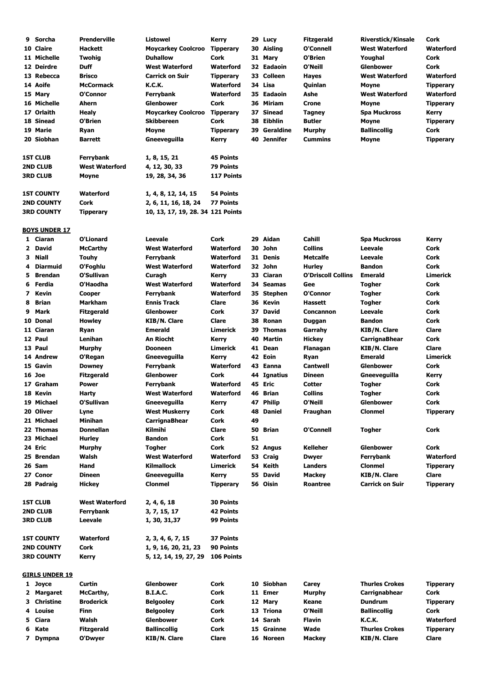| 9 | Sorcha                | <b>Prenderville</b>   | <b>Listowel</b>                   | Kerry            |    | 29 Lucy       | <b>Fitzgerald</b>         | <b>Riverstick/Kinsale</b> | Cork             |
|---|-----------------------|-----------------------|-----------------------------------|------------------|----|---------------|---------------------------|---------------------------|------------------|
|   | 10 Claire             | <b>Hackett</b>        | <b>Moycarkey Coolcroo</b>         | <b>Tipperary</b> | 30 | Aisling       | O'Connell                 | <b>West Waterford</b>     | <b>Waterford</b> |
|   | 11 Michelle           | <b>Twohig</b>         | <b>Duhallow</b>                   | Cork             |    | 31 Mary       | O'Brien                   | Youghal                   | Cork             |
|   | 12 Deirdre            | <b>Duff</b>           | <b>West Waterford</b>             | <b>Waterford</b> |    | 32 Eadaoin    | O'Neill                   | <b>Glenbower</b>          | Cork             |
|   | 13 Rebecca            | <b>Brisco</b>         | <b>Carrick on Suir</b>            | <b>Tipperary</b> |    | 33 Colleen    | Hayes                     | <b>West Waterford</b>     | <b>Waterford</b> |
|   | 14 Aoife              | <b>McCormack</b>      | <b>K.C.K.</b>                     | Waterford        |    | 34 Lisa       | Quinlan                   | Moyne                     | <b>Tipperary</b> |
|   | 15 Mary               | O'Connor              | Ferrybank                         | Waterford        |    | 35 Eadaoin    | Ashe                      | <b>West Waterford</b>     | Waterford        |
|   | 16 Michelle           | Ahern                 | <b>Glenbower</b>                  | Cork             | 36 | Miriam        | <b>Crone</b>              | Moyne                     | <b>Tipperary</b> |
|   | 17 Orlaith            | <b>Healy</b>          | <b>Moycarkey Coolcroo</b>         | <b>Tipperary</b> | 37 | <b>Sinead</b> | Tagney                    | <b>Spa Muckross</b>       | Kerry            |
|   | 18 Sinead             | O'Brien               | <b>Skibbereen</b>                 | <b>Cork</b>      | 38 | Eibhlin       | <b>Butler</b>             | Moyne                     | <b>Tipperary</b> |
|   | 19 Marie              | Ryan                  | Moyne                             | <b>Tipperary</b> | 39 | Geraldine     | Murphy                    | <b>Ballincollig</b>       | Cork             |
|   | 20 Siobhan            | Barrett               | Gneeveguilla                      | Kerry            |    | 40 Jennifer   | <b>Cummins</b>            | Moyne                     | <b>Tipperary</b> |
|   |                       |                       |                                   |                  |    |               |                           |                           |                  |
|   | <b>1ST CLUB</b>       | Ferrybank             | 1, 8, 15, 21                      | 45 Points        |    |               |                           |                           |                  |
|   | <b>2ND CLUB</b>       | <b>West Waterford</b> | 4, 12, 30, 33                     | 79 Points        |    |               |                           |                           |                  |
|   | 3RD CLUB              | Moyne                 | 19, 28, 34, 36                    | 117 Points       |    |               |                           |                           |                  |
|   |                       |                       |                                   |                  |    |               |                           |                           |                  |
|   | <b>1ST COUNTY</b>     | Waterford             | 1, 4, 8, 12, 14, 15               | 54 Points        |    |               |                           |                           |                  |
|   | <b>2ND COUNTY</b>     | Cork                  | 2, 6, 11, 16, 18, 24              | 77 Points        |    |               |                           |                           |                  |
|   | 3RD COUNTY            | <b>Tipperary</b>      | 10, 13, 17, 19, 28. 34 121 Points |                  |    |               |                           |                           |                  |
|   |                       |                       |                                   |                  |    |               |                           |                           |                  |
|   | <b>BOYS UNDER 17</b>  |                       |                                   |                  |    |               |                           |                           |                  |
|   | 1 Ciaran              | O'Lionard             | Leevale                           | Cork             | 29 | Aidan         | Cahill                    | <b>Spa Muckross</b>       | Kerry            |
|   | 2 David               | <b>McCarthy</b>       | <b>West Waterford</b>             | Waterford        |    | 30 John       | <b>Collins</b>            | Leevale                   | Cork             |
| 3 | Niall                 | <b>Touhy</b>          | Ferrybank                         | Waterford        |    | 31 Denis      | <b>Metcalfe</b>           | Leevale                   | Cork             |
| 4 | Diarmuid              | O'Foghlu              | <b>West Waterford</b>             | Waterford        |    | 32 John       | <b>Hurley</b>             | <b>Bandon</b>             | Cork             |
| 5 | <b>Brendan</b>        | O'Sullivan            | Curagh                            | Kerry            |    | 33 Ciaran     | <b>O'Driscoll Collins</b> | <b>Emerald</b>            | <b>Limerick</b>  |
|   |                       |                       |                                   |                  |    |               |                           |                           |                  |
| 6 | Ferdia                | O'Haodha              | <b>West Waterford</b>             | Waterford        |    | 34 Seamas     | Gee                       | <b>Togher</b>             | Cork             |
| 7 | Kevin                 | Cooper                | Ferrybank                         | <b>Waterford</b> |    | 35 Stephen    | O'Connor                  | <b>Togher</b>             | Cork             |
| 8 | <b>Brian</b>          | Markham               | <b>Ennis Track</b>                | Clare            | 36 | Kevin         | <b>Hassett</b>            | <b>Togher</b>             | Cork             |
| 9 | Mark                  | <b>Fitzgerald</b>     | <b>Glenbower</b>                  | Cork             | 37 | <b>David</b>  | <b>Concannon</b>          | <b>Leevale</b>            | Cork             |
|   | 10 Donal              | <b>Howley</b>         | KIB/N. Clare                      | Clare            | 38 | Ronan         | Duggan                    | <b>Bandon</b>             | Cork             |
|   | 11 Ciaran             | Ryan                  | <b>Emerald</b>                    | Limerick         | 39 | <b>Thomas</b> | Garrahy                   | <b>KIB/N. Clare</b>       | Clare            |
|   | 12 Paul               | Lenihan               | An Riocht                         | Kerry            | 40 | Martin        | <b>Hickey</b>             | <b>CarrignaBhear</b>      | Cork             |
|   | 13 Paul               | Murphy                | <b>Dooneen</b>                    | Limerick         | 41 | Dean          | Flanagan                  | <b>KIB/N. Clare</b>       | Clare            |
|   | 14 Andrew             | O'Regan               | Gneeveguilla                      | Kerry            |    | 42 Eoin       | Ryan                      | <b>Emerald</b>            | <b>Limerick</b>  |
|   | 15 Gavin              | <b>Downey</b>         | Ferrybank                         | Waterford        | 43 | Eanna         | Cantwell                  | <b>Glenbower</b>          | Cork             |
|   | <b>16 Joe</b>         | <b>Fitzgerald</b>     | <b>Glenbower</b>                  | Cork             |    | 44 Ignatius   | <b>Dineen</b>             | Gneeveguilla              | Kerry            |
|   | 17 Graham             | <b>Power</b>          | <b>Ferrybank</b>                  | Waterford        | 45 | Eric          | Cotter                    | Togher                    | Cork             |
|   | 18 Kevin              | Harty                 | <b>West Waterford</b>             | <b>Waterford</b> |    | 46 Brian      | <b>Collins</b>            | Togher                    | Cork             |
|   | 19 Michael            | O'Sullivan            | Gneeveguilla                      | Kerry            |    | 47 Philip     | O'Neill                   | <b>Glenbower</b>          | <b>Cork</b>      |
|   | 20 Oliver             | Lyne                  | <b>West Muskerry</b>              | Cork             |    | 48 Daniel     | Fraughan                  | <b>Clonmel</b>            | <b>Tipperary</b> |
|   | 21 Michael            | <b>Minihan</b>        | <b>CarrignaBhear</b>              | Cork             | 49 |               |                           |                           |                  |
|   | 22 Thomas             | <b>Donnellan</b>      | Kilmihi                           | Clare            |    | 50 Brian      | O'Connell                 | <b>Togher</b>             | Cork             |
|   | 23 Michael            | <b>Hurley</b>         | <b>Bandon</b>                     | Cork             | 51 |               |                           |                           |                  |
|   | 24 Eric               | Murphy                | Togher                            | Cork             |    | 52 Angus      | <b>Kelleher</b>           | <b>Glenbower</b>          | Cork             |
|   | 25 Brendan            | Walsh                 | <b>West Waterford</b>             | Waterford        |    | 53 Craig      | <b>Dwyer</b>              | Ferrybank                 | Waterford        |
|   | 26 Sam                | Hand                  | <b>Kilmallock</b>                 | <b>Limerick</b>  |    | 54 Keith      | <b>Landers</b>            | <b>Clonmel</b>            | <b>Tipperary</b> |
|   | 27 Conor              | <b>Dineen</b>         | Gneeveguilla                      | <b>Kerry</b>     |    | 55 David      | <b>Mackey</b>             | <b>KIB/N. Clare</b>       | Clare            |
|   | 28 Padraig            | <b>Hickey</b>         | <b>Clonmel</b>                    | <b>Tipperary</b> |    | 56 Oisin      | <b>Roantree</b>           | <b>Carrick on Suir</b>    | <b>Tipperary</b> |
|   |                       |                       |                                   |                  |    |               |                           |                           |                  |
|   | <b>1ST CLUB</b>       | <b>West Waterford</b> | 2, 4, 6, 18                       | <b>30 Points</b> |    |               |                           |                           |                  |
|   | <b>2ND CLUB</b>       | Ferrybank             | 3, 7, 15, 17                      | <b>42 Points</b> |    |               |                           |                           |                  |
|   | <b>3RD CLUB</b>       | Leevale               | 1, 30, 31,37                      | 99 Points        |    |               |                           |                           |                  |
|   |                       |                       |                                   |                  |    |               |                           |                           |                  |
|   | <b>1ST COUNTY</b>     | Waterford             | 2, 3, 4, 6, 7, 15                 | 37 Points        |    |               |                           |                           |                  |
|   | <b>2ND COUNTY</b>     | Cork                  | 1, 9, 16, 20, 21, 23              | 90 Points        |    |               |                           |                           |                  |
|   | <b>3RD COUNTY</b>     | <b>Kerry</b>          | 5, 12, 14, 19, 27, 29             | 106 Points       |    |               |                           |                           |                  |
|   |                       |                       |                                   |                  |    |               |                           |                           |                  |
|   | <b>GIRLS UNDER 19</b> |                       |                                   |                  |    |               |                           |                           |                  |
|   | 1 Joyce               | Curtin                | <b>Glenbower</b>                  | Cork             |    | 10 Siobhan    | Carey                     | <b>Thurles Crokes</b>     | <b>Tipperary</b> |
|   | 2 Margaret            | McCarthy,             | <b>B.I.A.C.</b>                   | Cork             |    | 11 Emer       | Murphy                    | Carrignabhear             | Cork             |
|   |                       |                       |                                   |                  |    |               |                           |                           |                  |
| 3 | Christine             | <b>Broderick</b>      | <b>Belgooley</b>                  | Cork             |    | 12 Mary       | Keane                     | <b>Dundrum</b>            | <b>Tipperary</b> |
| 4 | Louise                | Finn                  | <b>Belgooley</b>                  | Cork             |    | 13 Triona     | O'Neill                   | <b>Ballincollig</b>       | Cork             |
| 5 | Ciara                 | Walsh                 | <b>Glenbower</b>                  | Cork             |    | 14 Sarah      | <b>Flavin</b>             | <b>K.C.K.</b>             | Waterford        |
| 6 | Kate                  | <b>Fitzgerald</b>     | <b>Ballincollig</b>               | Cork             |    | 15 Grainne    | Wade                      | <b>Thurles Crokes</b>     | <b>Tipperary</b> |
|   | 7 Dympna              | O'Dwyer               | <b>KIB/N. Clare</b>               | Clare            |    | 16 Noreen     | <b>Mackey</b>             | <b>KIB/N. Clare</b>       | Clare            |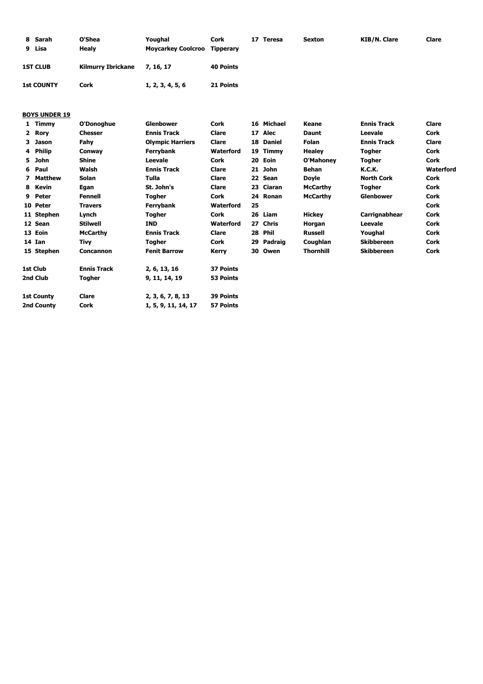| 8 Sarah<br>9 Lisa | O'Shea<br>Healv           | Youghal<br><b>Moycarkey Coolcroo</b> | Cork<br>Tipperary | 17<br>Teresa | <b>Sexton</b> | KIB/N. Clare | Clare |
|-------------------|---------------------------|--------------------------------------|-------------------|--------------|---------------|--------------|-------|
| <b>1ST CLUB</b>   | <b>Kilmurry Ibrickane</b> | 7, 16, 17                            | 40 Points         |              |               |              |       |
| <b>1st COUNTY</b> | <b>Cork</b>               | 1, 2, 3, 4, 5, 6                     | 21 Points         |              |               |              |       |

## **BOYS UNDER 19**

|   | Timmy             | O'Donoghue         | <b>Glenbower</b>        | Cork             |    | 16 Michael    | Keane            | <b>Ennis Track</b> | <b>Clare</b> |
|---|-------------------|--------------------|-------------------------|------------------|----|---------------|------------------|--------------------|--------------|
|   | 2 Rory            | <b>Chesser</b>     | <b>Ennis Track</b>      | Clare            |    | 17 Alec       | <b>Daunt</b>     | Leevale            | Cork         |
| 3 | <b>Jason</b>      | Fahy               | <b>Olympic Harriers</b> | Clare            | 18 | <b>Daniel</b> | Folan            | <b>Ennis Track</b> | Clare        |
|   | 4 Philip          | Conway             | Ferrybank               | Waterford        |    | 19 Timmy      | <b>Healey</b>    | Togher             | Cork         |
|   | 5 John            | <b>Shine</b>       | Leevale                 | Cork             | 20 | Eoin          | O'Mahoney        | Togher             | Cork         |
|   | 6 Paul            | Walsh              | <b>Ennis Track</b>      | Clare            |    | 21 John       | Behan            | <b>K.C.K.</b>      | Waterford    |
|   | 7 Matthew         | <b>Solan</b>       | Tulla                   | Clare            |    | 22 Sean       | <b>Doyle</b>     | <b>North Cork</b>  | Cork         |
|   | 8 Kevin           | Egan               | St. John's              | Clare            | 23 | Ciaran        | <b>McCarthy</b>  | Togher             | Cork         |
|   | 9 Peter           | <b>Fennell</b>     | <b>Togher</b>           | Cork             |    | 24 Ronan      | <b>McCarthy</b>  | <b>Glenbower</b>   | Cork         |
|   | 10 Peter          | <b>Travers</b>     | Ferrybank               | <b>Waterford</b> | 25 |               |                  |                    | Cork         |
|   | 11 Stephen        | Lynch              | <b>Togher</b>           | Cork             |    | 26 Liam       | <b>Hickey</b>    | Carrignabhear      | Cork         |
|   | 12 Sean           | <b>Stilwell</b>    | <b>IND</b>              | Waterford        |    | 27 Chris      | Horgan           | Leevale            | Cork         |
|   | 13 Eoin           | <b>McCarthy</b>    | <b>Ennis Track</b>      | Clare            | 28 | <b>Phil</b>   | <b>Russell</b>   | Youghal            | Cork         |
|   | 14 Ian            | Tivy               | <b>Togher</b>           | Cork             | 29 | Padraig       | Coughlan         | <b>Skibbereen</b>  | Cork         |
|   | 15 Stephen        | <b>Concannon</b>   | <b>Fenit Barrow</b>     | Kerry            | 30 | Owen          | <b>Thornhill</b> | <b>Skibbereen</b>  | <b>Cork</b>  |
|   | 1st Club          | <b>Ennis Track</b> | 2, 6, 13, 16            | 37 Points        |    |               |                  |                    |              |
|   | 2nd Club          | Togher             | 9, 11, 14, 19           | 53 Points        |    |               |                  |                    |              |
|   | <b>1st County</b> | Clare              | 2, 3, 6, 7, 8, 13       | 39 Points        |    |               |                  |                    |              |
|   | 2nd County        | Cork               | 1, 5, 9, 11, 14, 17     | 57 Points        |    |               |                  |                    |              |